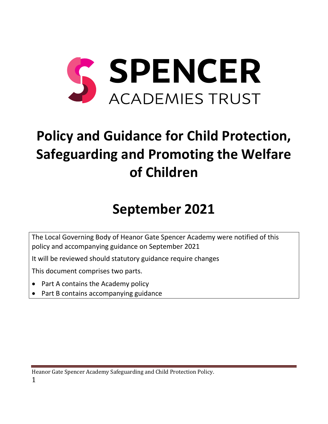

# **Policy and Guidance for Child Protection, Safeguarding and Promoting the Welfare of Children**

# **September 2021**

The Local Governing Body of Heanor Gate Spencer Academy were notified of this policy and accompanying guidance on September 2021

It will be reviewed should statutory guidance require changes

This document comprises two parts.

- Part A contains the Academy policy
- Part B contains accompanying guidance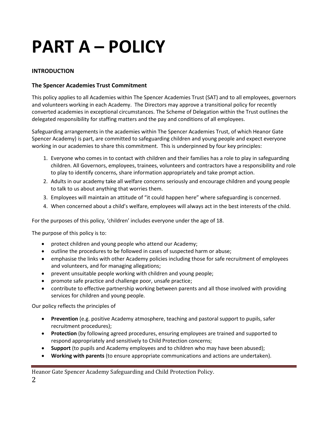# **PART A – POLICY**

# **INTRODUCTION**

# **The Spencer Academies Trust Commitment**

This policy applies to all Academies within The Spencer Academies Trust (SAT) and to all employees, governors and volunteers working in each Academy. The Directors may approve a transitional policy for recently converted academies in exceptional circumstances. The Scheme of Delegation within the Trust outlines the delegated responsibility for staffing matters and the pay and conditions of all employees.

Safeguarding arrangements in the academies within The Spencer Academies Trust, of which Heanor Gate Spencer Academy) is part, are committed to safeguarding children and young people and expect everyone working in our academies to share this commitment. This is underpinned by four key principles:

- 1. Everyone who comes in to contact with children and their families has a role to play in safeguarding children. All Governors, employees, trainees, volunteers and contractors have a responsibility and role to play to identify concerns, share information appropriately and take prompt action.
- 2. Adults in our academy take all welfare concerns seriously and encourage children and young people to talk to us about anything that worries them.
- 3. Employees will maintain an attitude of "it could happen here" where safeguarding is concerned.
- 4. When concerned about a child's welfare, employees will always act in the best interests of the child.

For the purposes of this policy, 'children' includes everyone under the age of 18.

The purpose of this policy is to:

- protect children and young people who attend our Academy;
- outline the procedures to be followed in cases of suspected harm or abuse;
- emphasise the links with other Academy policies including those for safe recruitment of employees and volunteers, and for managing allegations;
- prevent unsuitable people working with children and young people;
- promote safe practice and challenge poor, unsafe practice;
- contribute to effective partnership working between parents and all those involved with providing services for children and young people.

Our policy reflects the principles of

- **Prevention** (e.g. positive Academy atmosphere, teaching and pastoral support to pupils, safer recruitment procedures);
- **Protection** (by following agreed procedures, ensuring employees are trained and supported to respond appropriately and sensitively to Child Protection concerns;
- **Support** (to pupils and Academy employees and to children who may have been abused);
- **Working with parents** (to ensure appropriate communications and actions are undertaken).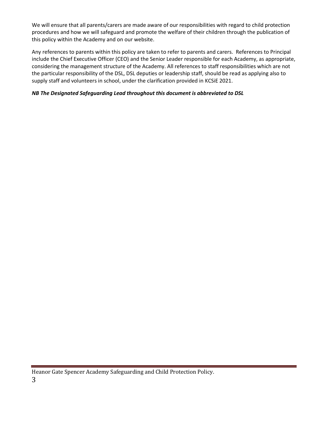We will ensure that all parents/carers are made aware of our responsibilities with regard to child protection procedures and how we will safeguard and promote the welfare of their children through the publication of this policy within the Academy and on our website.

Any references to parents within this policy are taken to refer to parents and carers. References to Principal include the Chief Executive Officer (CEO) and the Senior Leader responsible for each Academy, as appropriate, considering the management structure of the Academy. All references to staff responsibilities which are not the particular responsibility of the DSL, DSL deputies or leadership staff, should be read as applying also to supply staff and volunteers in school, under the clarification provided in KCSiE 2021.

# *NB The Designated Safeguarding Lead throughout this document is abbreviated to DSL*

Heanor Gate Spencer Academy Safeguarding and Child Protection Policy.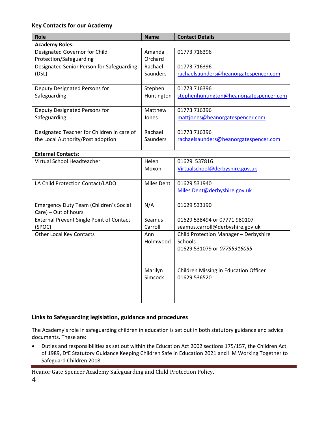# **Key Contacts for our Academy**

| <b>Role</b>                                     | <b>Name</b>       | <b>Contact Details</b>                          |  |
|-------------------------------------------------|-------------------|-------------------------------------------------|--|
| <b>Academy Roles:</b>                           |                   |                                                 |  |
| Designated Governor for Child                   | Amanda            | 01773 716396                                    |  |
| Protection/Safeguarding                         | Orchard           |                                                 |  |
| Designated Senior Person for Safeguarding       | Rachael           | 01773 716396                                    |  |
| (DSL)                                           | Saunders          | rachaelsaunders@heanorgatespencer.com           |  |
|                                                 |                   |                                                 |  |
| Deputy Designated Persons for                   | Stephen           | 01773 716396                                    |  |
| Safeguarding                                    | Huntington        | stephenhuntington@heanorgatespencer.com         |  |
| Deputy Designated Persons for                   | Matthew           | 01773 716396                                    |  |
| Safeguarding                                    | Jones             | mattjones@heanorgatespencer.com                 |  |
|                                                 |                   |                                                 |  |
| Designated Teacher for Children in care of      | Rachael           | 01773 716396                                    |  |
| the Local Authority/Post adoption               | Saunders          | rachaelsaunders@heanorgatespencer.com           |  |
|                                                 |                   |                                                 |  |
| <b>External Contacts:</b>                       |                   |                                                 |  |
| Virtual School Headteacher                      | Helen<br>Moxon    | 01629 537816<br>Virtualschool@derbyshire.gov.uk |  |
|                                                 |                   |                                                 |  |
| LA Child Protection Contact/LADO                | <b>Miles Dent</b> | 01629 531940                                    |  |
|                                                 |                   | Miles.Dent@derbyshire.gov.uk                    |  |
|                                                 |                   |                                                 |  |
| Emergency Duty Team (Children's Social          | N/A               | 01629 533190                                    |  |
| Care) – Out of hours                            |                   |                                                 |  |
| <b>External Prevent Single Point of Contact</b> | Seamus            | 01629 538494 or 07771 980107                    |  |
| (SPOC)                                          | Carroll           | seamus.carroll@derbyshire.gov.uk                |  |
| Other Local Key Contacts                        | Ann               | Child Protection Manager - Derbyshire           |  |
|                                                 | Holmwood          | Schools                                         |  |
|                                                 |                   | 01629 531079 or 07795316055                     |  |
|                                                 |                   |                                                 |  |
|                                                 | Marilyn           | Children Missing in Education Officer           |  |
|                                                 | Simcock           | 01629 536520                                    |  |
|                                                 |                   |                                                 |  |
|                                                 |                   |                                                 |  |
|                                                 |                   |                                                 |  |

# **Links to Safeguarding legislation, guidance and procedures**

The Academy's role in safeguarding children in education is set out in both statutory guidance and advice documents. These are:

• Duties and responsibilities as set out within the Education Act 2002 sections 175/157, the Children Act of 1989, DfE Statutory Guidance Keeping Children Safe in Education 2021 and HM Working Together to Safeguard Children 2018.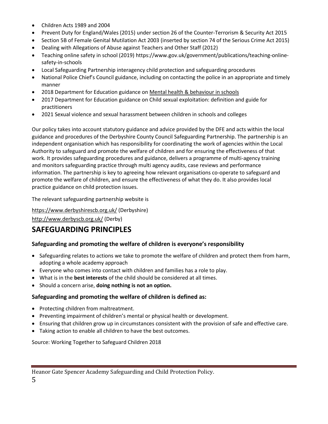- Children Acts 1989 and 2004
- Prevent Duty for England/Wales (2015) under section 26 of the Counter-Terrorism & Security Act 2015
- Section 5B of Female Genital Mutilation Act 2003 (inserted by section 74 of the Serious Crime Act 2015)
- Dealing with Allegations of Abuse against Teachers and Other Staff (2012)
- Teaching online safety in school (2019) https://www.gov.uk/government/publications/teaching-onlinesafety-in-schools
- Local Safeguarding Partnership interagency child protection and safeguarding procedures
- National Police Chief's Council guidance, including on contacting the police in an appropriate and timely manner
- 2018 Department for Education guidance on [Mental health & behaviour in schools](https://www.gov.uk/government/publications/mental-health-and-behaviour-in-schools--2)
- 2017 Department for Education guidance on Child sexual exploitation: definition and guide for practitioners
- 2021 Sexual violence and sexual harassment between children in schools and colleges

Our policy takes into account statutory guidance and advice provided by the DFE and acts within the local guidance and procedures of the Derbyshire County Council Safeguarding Partnership. The partnership is an independent organisation which has responsibility for coordinating the work of agencies within the Local Authority to safeguard and promote the welfare of children and for ensuring the effectiveness of that work. It provides safeguarding procedures and guidance, delivers a programme of multi-agency training and monitors safeguarding practice through multi agency audits, case reviews and performance information. The partnership is key to agreeing how relevant organisations co-operate to safeguard and promote the welfare of children, and ensure the effectiveness of what they do. It also provides local practice guidance on child protection issues.

The relevant safeguarding partnership website is

<https://www.derbyshirescb.org.uk/> (Derbyshire)

<http://www.derbyscb.org.uk/> (Derby)

# **SAFEGUARDING PRINCIPLES**

# **Safeguarding and promoting the welfare of children is everyone's responsibility**

- Safeguarding relates to actions we take to promote the welfare of children and protect them from harm, adopting a whole academy approach
- Everyone who comes into contact with children and families has a role to play.
- What is in the **best interests** of the child should be considered at all times.
- Should a concern arise, **doing nothing is not an option.**

# **Safeguarding and promoting the welfare of children is defined as:**

- Protecting children from maltreatment.
- Preventing impairment of children's mental or physical health or development.
- Ensuring that children grow up in circumstances consistent with the provision of safe and effective care.
- Taking action to enable all children to have the best outcomes.

Source: Working Together to Safeguard Children 2018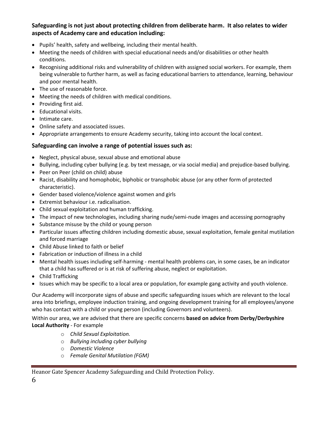# **Safeguarding is not just about protecting children from deliberate harm. It also relates to wider aspects of Academy care and education including:**

- Pupils' health, safety and wellbeing, including their mental health.
- Meeting the needs of children with special educational needs and/or disabilities or other health conditions.
- Recognising additional risks and vulnerability of children with assigned social workers. For example, them being vulnerable to further harm, as well as facing educational barriers to attendance, learning, behaviour and poor mental health.
- The use of reasonable force.
- Meeting the needs of children with medical conditions.
- Providing first aid.
- Educational visits.
- Intimate care.
- Online safety and associated issues.
- Appropriate arrangements to ensure Academy security, taking into account the local context.

# **Safeguarding can involve a range of potential issues such as:**

- Neglect, physical abuse, sexual abuse and emotional abuse
- Bullying, including cyber bullying (e.g. by text message, or via social media) and prejudice-based bullying.
- Peer on Peer (child on child) abuse
- Racist, disability and homophobic, biphobic or transphobic abuse (or any other form of protected characteristic).
- Gender based violence/violence against women and girls
- Extremist behaviour i.e. radicalisation.
- Child sexual exploitation and human trafficking.
- The impact of new technologies, including sharing nude/semi-nude images and accessing pornography
- Substance misuse by the child or young person
- Particular issues affecting children including domestic abuse, sexual exploitation, female genital mutilation and forced marriage
- Child Abuse linked to faith or belief
- Fabrication or induction of illness in a child
- Mental health issues including self-harming mental health problems can, in some cases, be an indicator that a child has suffered or is at risk of suffering abuse, neglect or exploitation.
- Child Trafficking
- Issues which may be specific to a local area or population, for example gang activity and youth violence.

Our Academy will incorporate signs of abuse and specific safeguarding issues which are relevant to the local area into briefings, employee induction training, and ongoing development training for all employees/anyone who has contact with a child or young person (including Governors and volunteers).

Within our area, we are advised that there are specific concerns **based on advice from Derby/Derbyshire Local Authority** - For example

- o *Child Sexual Exploitation.*
- o *Bullying including cyber bullying*
- o *Domestic Violence*
- o *Female Genital Mutilation (FGM)*

Heanor Gate Spencer Academy Safeguarding and Child Protection Policy.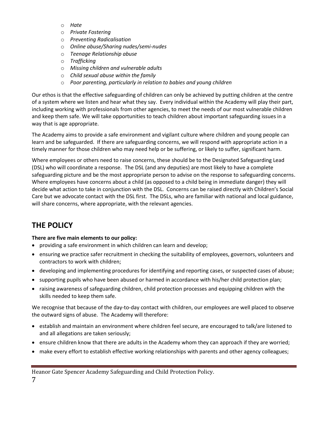- o *Hate*
- o *Private Fostering*
- o *Preventing Radicalisation*
- o *Online abuse/Sharing nudes/semi-nudes*
- o *Teenage Relationship abuse*
- o *Trafficking*
- o *Missing children and vulnerable adults*
- o *Child sexual abuse within the family*
- o *Poor parenting, particularly in relation to babies and young children*

Our ethos is that the effective safeguarding of children can only be achieved by putting children at the centre of a system where we listen and hear what they say. Every individual within the Academy will play their part, including working with professionals from other agencies, to meet the needs of our most vulnerable children and keep them safe. We will take opportunities to teach children about important safeguarding issues in a way that is age appropriate.

The Academy aims to provide a safe environment and vigilant culture where children and young people can learn and be safeguarded. If there are safeguarding concerns, we will respond with appropriate action in a timely manner for those children who may need help or be suffering, or likely to suffer, significant harm.

Where employees or others need to raise concerns, these should be to the Designated Safeguarding Lead (DSL) who will coordinate a response. The DSL (and any deputies) are most likely to have a complete safeguarding picture and be the most appropriate person to advise on the response to safeguarding concerns. Where employees have concerns about a child (as opposed to a child being in immediate danger) they will decide what action to take in conjunction with the DSL. Concerns can be raised directly with Children's Social Care but we advocate contact with the DSL first. The DSLs, who are familiar with national and local guidance, will share concerns, where appropriate, with the relevant agencies.

# **THE POLICY**

#### **There are five main elements to our policy:**

- providing a safe environment in which children can learn and develop;
- ensuring we practice safer recruitment in checking the suitability of employees, governors, volunteers and contractors to work with children;
- developing and implementing procedures for identifying and reporting cases, or suspected cases of abuse;
- supporting pupils who have been abused or harmed in accordance with his/her child protection plan;
- raising awareness of safeguarding children, child protection processes and equipping children with the skills needed to keep them safe.

We recognise that because of the day-to-day contact with children, our employees are well placed to observe the outward signs of abuse. The Academy will therefore:

- establish and maintain an environment where children feel secure, are encouraged to talk/are listened to and all allegations are taken seriously;
- ensure children know that there are adults in the Academy whom they can approach if they are worried;
- make every effort to establish effective working relationships with parents and other agency colleagues;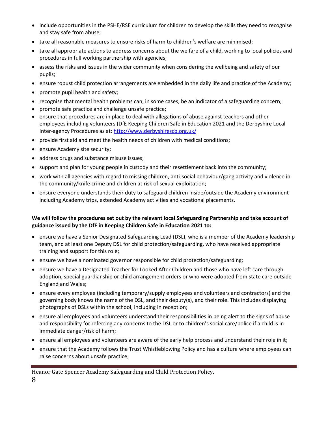- include opportunities in the PSHE/RSE curriculum for children to develop the skills they need to recognise and stay safe from abuse;
- take all reasonable measures to ensure risks of harm to children's welfare are minimised;
- take all appropriate actions to address concerns about the welfare of a child, working to local policies and procedures in full working partnership with agencies;
- assess the risks and issues in the wider community when considering the wellbeing and safety of our pupils;
- ensure robust child protection arrangements are embedded in the daily life and practice of the Academy;
- promote pupil health and safety;
- recognise that mental health problems can, in some cases, be an indicator of a safeguarding concern;
- promote safe practice and challenge unsafe practice;
- ensure that procedures are in place to deal with allegations of abuse against teachers and other employees including volunteers (DfE Keeping Children Safe in Education 2021 and the Derbyshire Local Inter-agency Procedures as at: <http://www.derbyshirescb.org.uk/>
- provide first aid and meet the health needs of children with medical conditions;
- ensure Academy site security;
- address drugs and substance misuse issues;
- support and plan for young people in custody and their resettlement back into the community;
- work with all agencies with regard to missing children, anti-social behaviour/gang activity and violence in the community/knife crime and children at risk of sexual exploitation;
- ensure everyone understands their duty to safeguard children inside/outside the Academy environment including Academy trips, extended Academy activities and vocational placements.

# **We will follow the procedures set out by the relevant local Safeguarding Partnership and take account of guidance issued by the DfE in Keeping Children Safe in Education 2021 to:**

- ensure we have a Senior Designated Safeguarding Lead (DSL), who is a member of the Academy leadership team, and at least one Deputy DSL for child protection/safeguarding, who have received appropriate training and support for this role;
- ensure we have a nominated governor responsible for child protection/safeguarding;
- ensure we have a Designated Teacher for Looked After Children and those who have left care through adoption, special guardianship or child arrangement orders or who were adopted from state care outside England and Wales;
- ensure every employee (including temporary/supply employees and volunteers and contractors) and the governing body knows the name of the DSL, and their deputy(s), and their role. This includes displaying photographs of DSLs within the school, including in reception;
- ensure all employees and volunteers understand their responsibilities in being alert to the signs of abuse and responsibility for referring any concerns to the DSL or to children's social care/police if a child is in immediate danger/risk of harm;
- ensure all employees and volunteers are aware of the early help process and understand their role in it;
- ensure that the Academy follows the Trust Whistleblowing Policy and has a culture where employees can raise concerns about unsafe practice;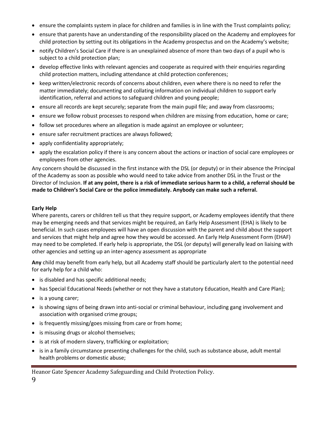- ensure the complaints system in place for children and families is in line with the Trust complaints policy;
- ensure that parents have an understanding of the responsibility placed on the Academy and employees for child protection by setting out its obligations in the Academy prospectus and on the Academy's website;
- notify Children's Social Care if there is an unexplained absence of more than two days of a pupil who is subject to a child protection plan;
- develop effective links with relevant agencies and cooperate as required with their enquiries regarding child protection matters, including attendance at child protection conferences;
- keep written/electronic records of concerns about children, even where there is no need to refer the matter immediately; documenting and collating information on individual children to support early identification, referral and actions to safeguard children and young people;
- ensure all records are kept securely; separate from the main pupil file; and away from classrooms;
- ensure we follow robust processes to respond when children are missing from education, home or care;
- follow set procedures where an allegation is made against an employee or volunteer;
- ensure safer recruitment practices are always followed;
- apply confidentiality appropriately;
- apply the escalation policy if there is any concern about the actions or inaction of social care employees or employees from other agencies.

Any concern should be discussed in the first instance with the DSL (or deputy) or in their absence the Principal of the Academy as soon as possible who would need to take advice from another DSL in the Trust or the Director of Inclusion. **If at any point, there is a risk of immediate serious harm to a child, a referral should be made to Children's Social Care or the police immediately. Anybody can make such a referral.**

#### **Early Help**

Where parents, carers or children tell us that they require support, or Academy employees identify that there may be emerging needs and that services might be required, an Early Help Assessment (EHA) is likely to be beneficial. In such cases employees will have an open discussion with the parent and child about the support and services that might help and agree how they would be accessed. An Early Help Assessment Form (EHAF) may need to be completed. If early help is appropriate, the DSL (or deputy) will generally lead on liaising with other agencies and setting up an inter-agency assessment as appropriate

**Any** child may benefit from early help, but all Academy staff should be particularly alert to the potential need for early help for a child who:

- is disabled and has specific additional needs;
- has Special Educational Needs (whether or not they have a statutory Education, Health and Care Plan);
- is a young carer;
- is showing signs of being drawn into anti-social or criminal behaviour, including gang involvement and association with organised crime groups;
- is frequently missing/goes missing from care or from home;
- is misusing drugs or alcohol themselves;
- is at risk of modern slavery, trafficking or exploitation;
- is in a family circumstance presenting challenges for the child, such as substance abuse, adult mental health problems or domestic abuse;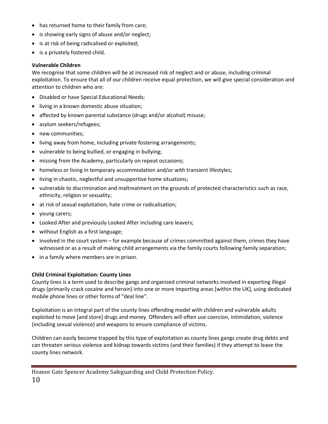- has returned home to their family from care;
- is showing early signs of abuse and/or neglect;
- is at risk of being radicalised or exploited;
- is a privately fostered child.

#### **Vulnerable Children**

We recognise that some children will be at increased risk of neglect and or abuse, including criminal exploitation. To ensure that all of our children receive equal protection, we will give special consideration and attention to children who are:

- Disabled or have Special Educational Needs;
- living in a known domestic abuse situation;
- affected by known parental substance (drugs and/or alcohol) misuse;
- asylum seekers/refugees;
- new communities;
- living away from home, including private fostering arrangements;
- vulnerable to being bullied, or engaging in bullying;
- missing from the Academy, particularly on repeat occasions;
- homeless or living in temporary accommodation and/or with transient lifestyles;
- living in chaotic, neglectful and unsupportive home situations;
- vulnerable to discrimination and maltreatment on the grounds of protected characteristics such as race, ethnicity, religion or sexuality;
- at risk of sexual exploitation, hate crime or radicalisation;
- young carers;
- Looked After and previously Looked After including care leavers;
- without English as a first language;
- involved in the court system for example because of crimes committed against them, crimes they have witnessed or as a result of making child arrangements via the family courts following family separation;
- in a family where members are in prison.

#### **Child Criminal Exploitation: County Lines**

County lines is a term used to describe gangs and organised criminal networks involved in exporting illegal drugs (primarily crack cocaine and heroin) into one or more importing areas [within the UK], using dedicated mobile phone lines or other forms of "deal line".

Exploitation is an integral part of the county lines offending model with children and vulnerable adults exploited to move [and store] drugs and money. Offenders will often use coercion, intimidation, violence (including sexual violence) and weapons to ensure compliance of victims.

Children can easily become trapped by this type of exploitation as county lines gangs create drug debts and can threaten serious violence and kidnap towards victims (and their families) if they attempt to leave the county lines network.

Heanor Gate Spencer Academy Safeguarding and Child Protection Policy. 10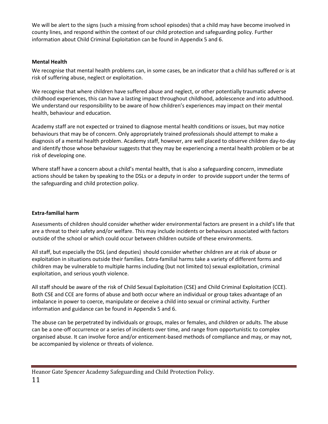We will be alert to the signs (such a missing from school episodes) that a child may have become involved in county lines, and respond within the context of our child protection and safeguarding policy. Further information about Child Criminal Exploitation can be found in Appendix 5 and 6.

#### **Mental Health**

We recognise that mental health problems can, in some cases, be an indicator that a child has suffered or is at risk of suffering abuse, neglect or exploitation.

We recognise that where children have suffered abuse and neglect, or other potentially traumatic adverse childhood experiences, this can have a lasting impact throughout childhood, adolescence and into adulthood. We understand our responsibility to be aware of how children's experiences may impact on their mental health, behaviour and education.

Academy staff are not expected or trained to diagnose mental health conditions or issues, but may notice behaviours that may be of concern. Only appropriately trained professionals should attempt to make a diagnosis of a mental health problem. Academy staff, however, are well placed to observe children day-to-day and identify those whose behaviour suggests that they may be experiencing a mental health problem or be at risk of developing one.

Where staff have a concern about a child's mental health, that is also a safeguarding concern, immediate actions should be taken by speaking to the DSLs or a deputy in order to provide support under the terms of the safeguarding and child protection policy.

#### **Extra-familial harm**

Assessments of children should consider whether wider environmental factors are present in a child's life that are a threat to their safety and/or welfare. This may include incidents or behaviours associated with factors outside of the school or which could occur between children outside of these environments.

All staff, but especially the DSL (and deputies) should consider whether children are at risk of abuse or exploitation in situations outside their families. Extra-familial harms take a variety of different forms and children may be vulnerable to multiple harms including (but not limited to) sexual exploitation, criminal exploitation, and serious youth violence.

All staff should be aware of the risk of Child Sexual Exploitation (CSE) and Child Criminal Exploitation (CCE). Both CSE and CCE are forms of abuse and both occur where an individual or group takes advantage of an imbalance in power to coerce, manipulate or deceive a child into sexual or criminal activity. Further information and guidance can be found in Appendix 5 and 6.

The abuse can be perpetrated by individuals or groups, males or females, and children or adults. The abuse can be a one-off occurrence or a series of incidents over time, and range from opportunistic to complex organised abuse. It can involve force and/or enticement-based methods of compliance and may, or may not, be accompanied by violence or threats of violence.

Heanor Gate Spencer Academy Safeguarding and Child Protection Policy. 11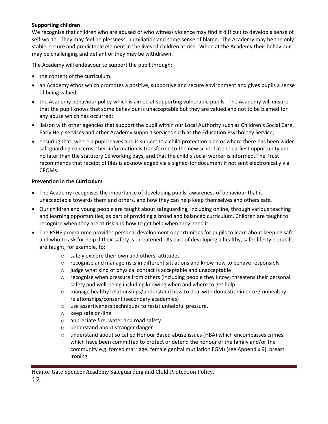#### **Supporting children**

We recognise that children who are abused or who witness violence may find it difficult to develop a sense of self-worth. They may feel helplessness, humiliation and some sense of blame. The Academy may be the only stable, secure and predictable element in the lives of children at risk. When at the Academy their behaviour may be challenging and defiant or they may be withdrawn.

The Academy will endeavour to support the pupil through:

- the content of the curriculum;
- an Academy ethos which promotes a positive, supportive and secure environment and gives pupils a sense of being valued;
- the Academy behaviour policy which is aimed at supporting vulnerable pupils. The Academy will ensure that the pupil knows that some behaviour is unacceptable but they are valued and not to be blamed for any abuse which has occurred;
- liaison with other agencies that support the pupil within our Local Authority such as Children's Social Care, Early Help services and other Academy support services such as the Education Psychology Service;
- ensuring that, where a pupil leaves and is subject to a child protection plan or where there has been wider safeguarding concerns, their information is transferred to the new school at the earliest opportunity and no later than the statutory 15 working days, and that the child's social worker is informed. The Trust recommends that receipt of files is acknowledged via a signed-for document if not sent electronically via CPOMs.

#### **Prevention in the Curriculum**

- The Academy recognises the importance of developing pupils' awareness of behaviour that is unacceptable towards them and others, and how they can help keep themselves and others safe.
- Our children and young people are taught about safeguarding, including online, through various teaching and learning opportunities, as part of providing a broad and balanced curriculum. Children are taught to recognise when they are at risk and how to get help when they need it.
- The RSHE programme provides personal development opportunities for pupils to learn about keeping safe and who to ask for help if their safety is threatened. As part of developing a healthy, safer lifestyle, pupils are taught, for example, to:
	- o safely explore their own and others' attitudes
	- $\circ$  recognise and manage risks in different situations and know how to behave responsibly
	- o judge what kind of physical contact is acceptable and unacceptable
	- $\circ$  recognise when pressure from others (including people they know) threatens their personal safety and well-being including knowing when and where to get help
	- $\circ$  manage healthy relationships/understand how to deal with domestic violence / unhealthy relationships/consent (secondary academies)
	- o use assertiveness techniques to resist unhelpful pressure.
	- o keep safe on-line
	- o appreciate fire, water and road safety
	- o understand about stranger danger
	- $\circ$  understand about so called Honour Based abuse issues (HBA) which encompasses crimes which have been committed to protect or defend the honour of the family and/or the community e.g. forced marriage, female genital mutilation FGM) (see Appendix 9), breast ironing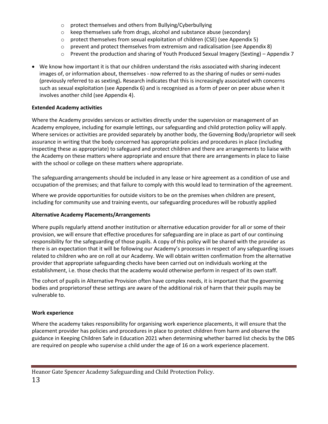- o protect themselves and others from Bullying/Cyberbullying
- o keep themselves safe from drugs, alcohol and substance abuse (secondary)
- $\circ$  protect themselves from sexual exploitation of children (CSE) (see Appendix 5)
- $\circ$  prevent and protect themselves from extremism and radicalisation (see Appendix 8)
- $\circ$  Prevent the production and sharing of Youth Produced Sexual Imagery (Sexting) Appendix 7
- We know how important it is that our children understand the risks associated with sharing indecent images of, or information about, themselves - now referred to as the sharing of nudes or semi-nudes (previously referred to as sexting)**.** Research indicates that this is increasingly associated with concerns such as sexual exploitation (see Appendix 6) and is recognised as a form of peer on peer abuse when it involves another child (see Appendix 4).

#### **Extended Academy activities**

Where the Academy provides services or activities directly under the supervision or management of an Academy employee, including for example lettings, our safeguarding and child protection policy will apply. Where services or activities are provided separately by another body, the Governing Body/proprietor will seek assurance in writing that the body concerned has appropriate policies and procedures in place (including inspecting these as appropriate) to safeguard and protect children and there are arrangements to liaise with the Academy on these matters where appropriate and ensure that there are arrangements in place to liaise with the school or college on these matters where appropriate.

The safeguarding arrangements should be included in any lease or hire agreement as a condition of use and occupation of the premises; and that failure to comply with this would lead to termination of the agreement.

Where we provide opportunities for outside visitors to be on the premises when children are present, including for community use and training events, our safeguarding procedures will be robustly applied

#### **Alternative Academy Placements/Arrangements**

Where pupils regularly attend another institution or alternative education provider for all or some of their provision, we will ensure that effective procedures for safeguarding are in place as part of our continuing responsibility for the safeguarding of those pupils. A copy of this policy will be shared with the provider as there is an expectation that it will be following our Academy's processes in respect of any safeguarding issues related to children who are on roll at our Academy. We will obtain written confirmation from the alternative provider that appropriate safeguarding checks have been carried out on individuals working at the establishment, i.e. those checks that the academy would otherwise perform in respect of its own staff.

The cohort of pupils in Alternative Provision often have complex needs, it is important that the governing bodies and proprietorsof these settings are aware of the additional risk of harm that their pupils may be vulnerable to.

#### **Work experience**

Where the academy takes responsibility for organising work experience placements, it will ensure that the placement provider has policies and procedures in place to protect children from harm and observe the guidance in Keeping Children Safe in Education 2021 when determining whether barred list checks by the DBS are required on people who supervise a child under the age of 16 on a work experience placement.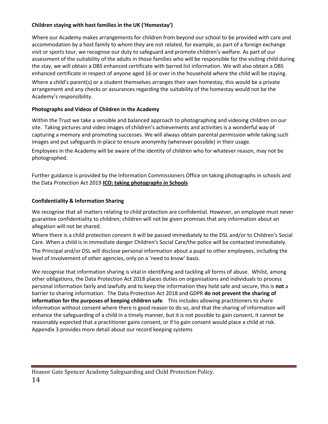# **Children staying with host families in the UK ('Homestay')**

Where our Academy makes arrangements for children from beyond our school to be provided with care and accommodation by a host family to whom they are not related, for example, as part of a foreign exchange visit or sports tour, we recognise our duty to safeguard and promote children's welfare. As part of our assessment of the suitability of the adults in those families who will be responsible for the visiting child during the stay, we will obtain a DBS enhanced certificate with barred list information. We will also obtain a DBS enhanced certificate in respect of anyone aged 16 or over in the household where the child will be staying. Where a child's parent(s) or a student themselves arranges their own homestay, this would be a private arrangement and any checks or assurances regarding the suitability of the homestay would not be the Academy's responsibility.

# **Photographs and Videos of Children in the Academy**

Within the Trust we take a sensible and balanced approach to photographing and videoing children on our site. Taking pictures and video images of children's achievements and activities is a wonderful way of capturing a memory and promoting successes. We will always obtain parental permission while taking such images and put safeguards in place to ensure anonymity (wherever possible) in their usage.

Employees in the Academy will be aware of the identity of children who for whatever reason, may not be photographed.

Further guidance is provided by the Information Commissioners Office on taking photographs in schools and the Data Protection Act 2019 **[ICO: taking photographs in Schools](https://ico.org.uk/media/for-organisations/documents/1136/taking_photos.pdf)**

#### **Confidentiality & Information Sharing**

We recognise that all matters relating to child protection are confidential. However, an employee must never guarantee confidentiality to children; children will not be given promises that any information about an allegation will not be shared.

Where there is a child protection concern it will be passed immediately to the DSL and/or to Children's Social Care. When a child is in immediate danger Children's Social Care/the police will be contacted immediately.

The Principal and/or DSL will disclose personal information about a pupil to other employees, including the level of involvement of other agencies, only on a 'need to know' basis.

We recognise that information sharing is vital in identifying and tackling all forms of abuse. Whilst, among other obligations, the Data Protection Act 2018 places duties on organisations and individuals to process personal information fairly and lawfully and to keep the information they hold safe and secure, this is **not** a barrier to sharing information. The Data Protection Act 2018 and GDPR **do not prevent the sharing of information for the purposes of keeping children safe**. This includes allowing practitioners to share information without consent where there is good reason to do so, and that the sharing of information will enhance the safeguarding of a child in a timely manner, but it is not possible to gain consent, it cannot be reasonably expected that a practitioner gains consent, or if to gain consent would place a child at risk. Appendix 3 provides more detail about our record keeping systems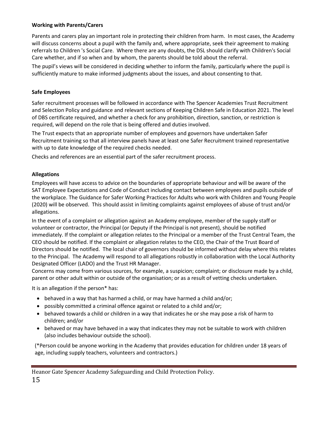## **Working with Parents/Carers**

Parents and carers play an important role in protecting their children from harm. In most cases, the Academy will discuss concerns about a pupil with the family and, where appropriate, seek their agreement to making referrals to Children 's Social Care. Where there are any doubts, the DSL should clarify with Children's Social Care whether, and if so when and by whom, the parents should be told about the referral.

The pupil's views will be considered in deciding whether to inform the family, particularly where the pupil is sufficiently mature to make informed judgments about the issues, and about consenting to that.

# **Safe Employees**

Safer recruitment processes will be followed in accordance with The Spencer Academies Trust Recruitment and Selection Policy and guidance and relevant sections of Keeping Children Safe in Education 2021. The level of DBS certificate required, and whether a check for any prohibition, direction, sanction, or restriction is required, will depend on the role that is being offered and duties involved.

The Trust expects that an appropriate number of employees and governors have undertaken Safer Recruitment training so that all interview panels have at least one Safer Recruitment trained representative with up to date knowledge of the required checks needed.

Checks and references are an essential part of the safer recruitment process.

# **Allegations**

Employees will have access to advice on the boundaries of appropriate behaviour and will be aware of the SAT Employee Expectations and Code of Conduct including contact between employees and pupils outside of the workplace. The Guidance for Safer Working Practices for Adults who work with Children and Young People (2020) will be observed. This should assist in limiting complaints against employees of abuse of trust and/or allegations.

In the event of a complaint or allegation against an Academy employee, member of the supply staff or volunteer or contractor, the Principal (or Deputy if the Principal is not present), should be notified immediately. If the complaint or allegation relates to the Principal or a member of the Trust Central Team, the CEO should be notified. If the complaint or allegation relates to the CEO, the Chair of the Trust Board of Directors should be notified. The local chair of governors should be informed without delay where this relates to the Principal. The Academy will respond to all allegations robustly in collaboration with the Local Authority Designated Officer (LADO) and the Trust HR Manager.

Concerns may come from various sources, for example, a suspicion; complaint; or disclosure made by a child, parent or other adult within or outside of the organisation; or as a result of vetting checks undertaken.

It is an allegation if the person\* has:

- behaved in a way that has harmed a child, or may have harmed a child and/or;
- possibly committed a criminal offence against or related to a child and/or;
- behaved towards a child or children in a way that indicates he or she may pose a risk of harm to children; and/or
- behaved or may have behaved in a way that indicates they may not be suitable to work with children (also includes behaviour outside the school).

(\*Person could be anyone working in the Academy that provides education for children under 18 years of age, including supply teachers, volunteers and contractors.)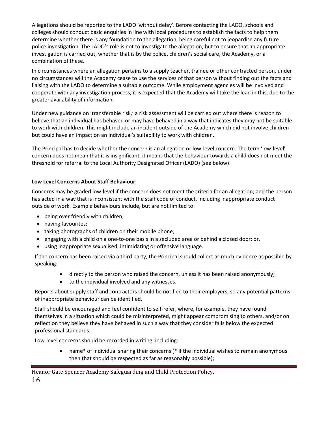Allegations should be reported to the LADO 'without delay'. Before contacting the LADO, schools and colleges should conduct basic enquiries in line with local procedures to establish the facts to help them determine whether there is any foundation to the allegation, being careful not to jeopardise any future police investigation. The LADO's role is not to investigate the allegation, but to ensure that an appropriate investigation is carried out, whether that is by the police, children's social care, the Academy, or a combination of these.

In circumstances where an allegation pertains to a supply teacher, trainee or other contracted person, under no circumstances will the Academy cease to use the services of that person without finding out the facts and liaising with the LADO to determine a suitable outcome. While employment agencies will be involved and cooperate with any investigation process, it is expected that the Academy will take the lead in this, due to the greater availability of information.

Under new guidance on 'transferable risk,' a risk assessment will be carried out where there is reason to believe that an individual has behaved or may have behaved in a way that indicates they may not be suitable to work with children. This might include an incident outside of the Academy which did not involve children but could have an impact on an individual's suitability to work with children.

The Principal has to decide whether the concern is an allegation or low-level concern. The term 'low-level' concern does not mean that it is insignificant, it means that the behaviour towards a child does not meet the threshold for referral to the Local Authority Designated Officer (LADO) (see below).

#### **Low Level Concerns About Staff Behaviour**

Concerns may be graded low-level if the concern does not meet the criteria for an allegation; and the person has acted in a way that is inconsistent with the staff code of conduct, including inappropriate conduct outside of work. Example behaviours include, but are not limited to:

- being over friendly with children;
- having favourites;
- taking photographs of children on their mobile phone;
- engaging with a child on a one-to-one basis in a secluded area or behind a closed door; or,
- using inappropriate sexualised, intimidating or offensive language.

If the concern has been raised via a third party, the Principal should collect as much evidence as possible by speaking:

- directly to the person who raised the concern, unless it has been raised anonymously;
- to the individual involved and any witnesses.

Reports about supply staff and contractors should be notified to their employers, so any potential patterns of inappropriate behaviour can be identified.

Staff should be encouraged and feel confident to self-refer, where, for example, they have found themselves in a situation which could be misinterpreted, might appear compromising to others, and/or on reflection they believe they have behaved in such a way that they consider falls below the expected professional standards.

Low-level concerns should be recorded in writing, including:

- name\* of individual sharing their concerns (\* if the individual wishes to remain anonymous then that should be respected as far as reasonably possible);
- Heanor Gate Spencer Academy Safeguarding and Child Protection Policy.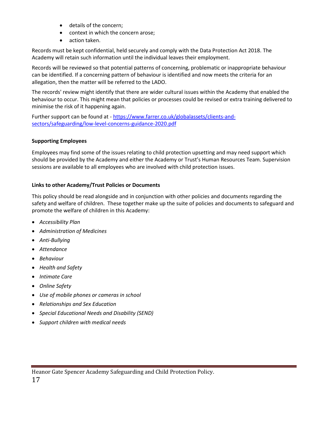- details of the concern;
- context in which the concern arose;
- action taken.

Records must be kept confidential, held securely and comply with the Data Protection Act 2018. The Academy will retain such information until the individual leaves their employment.

Records will be reviewed so that potential patterns of concerning, problematic or inappropriate behaviour can be identified. If a concerning pattern of behaviour is identified and now meets the criteria for an allegation, then the matter will be referred to the LADO.

The records' review might identify that there are wider cultural issues within the Academy that enabled the behaviour to occur. This might mean that policies or processes could be revised or extra training delivered to minimise the risk of it happening again.

Further support can be found at - [https://www.farrer.co.uk/globalassets/clients-and](https://www.farrer.co.uk/globalassets/clients-and-sectors/safeguarding/low-level-concerns-guidance-2020.pdf)[sectors/safeguarding/low-level-concerns-guidance-2020.pdf](https://www.farrer.co.uk/globalassets/clients-and-sectors/safeguarding/low-level-concerns-guidance-2020.pdf)

# **Supporting Employees**

Employees may find some of the issues relating to child protection upsetting and may need support which should be provided by the Academy and either the Academy or Trust's Human Resources Team. Supervision sessions are available to all employees who are involved with child protection issues.

# **Links to other Academy/Trust Policies or Documents**

This policy should be read alongside and in conjunction with other policies and documents regarding the safety and welfare of children. These together make up the suite of policies and documents to safeguard and promote the welfare of children in this Academy:

- *Accessibility Plan*
- *Administration of Medicines*
- *Anti-Bullying*
- *Attendance*
- *Behaviour*
- *Health and Safety*
- *Intimate Care*
- *Online Safety*
- *Use of mobile phones or cameras in school*
- *Relationships and Sex Education*
- *Special Educational Needs and Disability (SEND)*
- *Support children with medical needs*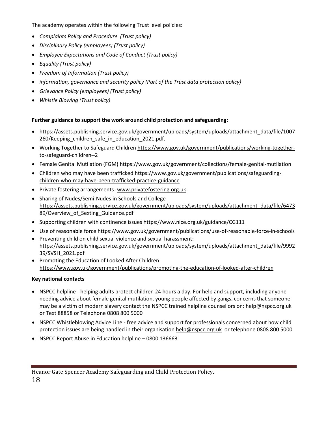The academy operates within the following Trust level policies:

- *Complaints Policy and Procedure (Trust policy)*
- *Disciplinary Policy (employees) (Trust policy)*
- *Employee Expectations and Code of Conduct (Trust policy)*
- *Equality (Trust policy)*
- *Freedom of Information (Trust policy)*
- *information, governance and security policy (Part of the Trust data protection policy)*
- *Grievance Policy (employees) (Trust policy)*
- *Whistle Blowing (Trust policy)*

# **Further guidance to support the work around child protection and safeguarding:**

- https://assets.publishing.service.gov.uk/government/uploads/system/uploads/attachment\_data/file/1007 260/Keeping children safe in education 2021.pdf.
- Working Together to Safeguard Childre[n https://www.gov.uk/government/publications/working-together](https://www.gov.uk/government/publications/working-together-to-safeguard-children--2)[to-safeguard-children--2](https://www.gov.uk/government/publications/working-together-to-safeguard-children--2)
- Female Genital Mutilation (FGM) <https://www.gov.uk/government/collections/female-genital-mutilation>
- Children who may have been trafficked [https://www.gov.uk/government/publications/safeguarding](https://www.gov.uk/government/publications/safeguarding-children-who-may-have-been-trafficked-practice-guidance)[children-who-may-have-been-trafficked-practice-guidance](https://www.gov.uk/government/publications/safeguarding-children-who-may-have-been-trafficked-practice-guidance)
- Private fostering arrangements- [www.privatefostering.org.uk](http://www.privatefostering.org.uk/)
- Sharing of Nudes/Semi-Nudes in Schools and College https://assets.publishing.service.gov.uk/government/uploads/system/uploads/attachment\_data/file/6473 89/Overview\_of\_Sexting\_Guidance.pdf
- Supporting children with continence issues<https://www.nice.org.uk/guidance/CG111>
- Use of reasonable force <https://www.gov.uk/government/publications/use-of-reasonable-force-in-schools>
- Preventing child on child sexual violence and sexual harassment: https://assets.publishing.service.gov.uk/government/uploads/system/uploads/attachment\_data/file/9992 39/SVSH\_2021.pdf
- Promoting the Education of Looked After Children <https://www.gov.uk/government/publications/promoting-the-education-of-looked-after-children>

#### **Key national contacts**

- NSPCC helpline helping adults protect children 24 hours a day. For help and support, including anyone needing advice about female genital mutilation, young people affected by gangs, concerns that someone may be a victim of modern slavery contact the NSPCC trained helpline counsellors on[: help@nspcc.org.uk](mailto:help@nspcc.org.uk) or Text 88858 or Telephone 0808 800 5000
- NSPCC Whistleblowing Advice Line free advice and support for professionals concerned about how child protection issues are being handled in their organisation [help@nspcc.org.uk](mailto:help@nspcc.org.uk) or telephone 0808 800 5000
- NSPCC Report Abuse in Education helpline 0800 136663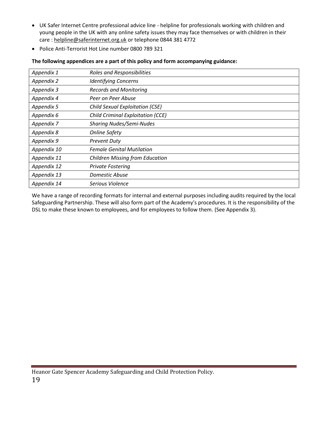- UK Safer Internet Centre professional advice line helpline for professionals working with children and young people in the UK with any online safety issues they may face themselves or with children in their care : [helpline@saferinternet.org.uk](mailto:helpline@saferinternet.org.uk) or telephone 0844 381 4772
- Police Anti-Terrorist Hot Line number 0800 789 321

| Appendix 1  | <b>Roles and Responsibilities</b>        |
|-------------|------------------------------------------|
| Appendix 2  | <b>Identifying Concerns</b>              |
| Appendix 3  | <b>Records and Monitoring</b>            |
| Appendix 4  | Peer on Peer Abuse                       |
| Appendix 5  | <b>Child Sexual Exploitation (CSE)</b>   |
| Appendix 6  | <b>Child Criminal Exploitation (CCE)</b> |
| Appendix 7  | <b>Sharing Nudes/Semi-Nudes</b>          |
| Appendix 8  | <b>Online Safety</b>                     |
| Appendix 9  | <b>Prevent Duty</b>                      |
| Appendix 10 | <b>Female Genital Mutilation</b>         |
| Appendix 11 | <b>Children Missing from Education</b>   |
| Appendix 12 | <b>Private Fostering</b>                 |
| Appendix 13 | Domestic Abuse                           |
| Appendix 14 | Serious Violence                         |

#### **The following appendices are a part of this policy and form accompanying guidance:**

We have a range of recording formats for internal and external purposes including audits required by the local Safeguarding Partnership. These will also form part of the Academy's procedures. It is the responsibility of the DSL to make these known to employees, and for employees to follow them. (See Appendix 3).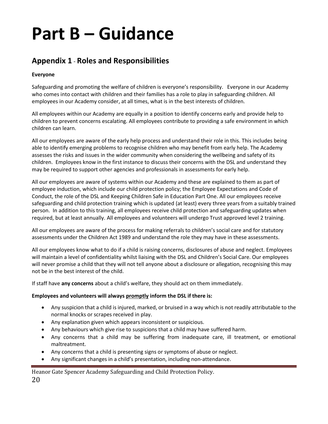# **Part B – Guidance**

# **Appendix 1** - **Roles and Responsibilities**

## **Everyone**

Safeguarding and promoting the welfare of children is everyone's responsibility. Everyone in our Academy who comes into contact with children and their families has a role to play in safeguarding children. All employees in our Academy consider, at all times, what is in the best interests of children.

All employees within our Academy are equally in a position to identify concerns early and provide help to children to prevent concerns escalating. All employees contribute to providing a safe environment in which children can learn.

All our employees are aware of the early help process and understand their role in this. This includes being able to identify emerging problems to recognise children who may benefit from early help. The Academy assesses the risks and issues in the wider community when considering the wellbeing and safety of its children. Employees know in the first instance to discuss their concerns with the DSL and understand they may be required to support other agencies and professionals in assessments for early help.

All our employees are aware of systems within our Academy and these are explained to them as part of employee induction, which include our child protection policy; the Employee Expectations and Code of Conduct, the role of the DSL and Keeping Children Safe in Education Part One. All our employees receive safeguarding and child protection training which is updated (at least) every three years from a suitably trained person. In addition to this training, all employees receive child protection and safeguarding updates when required, but at least annually. All employees and volunteers will undergo Trust approved level 2 training.

All our employees are aware of the process for making referrals to children's social care and for statutory assessments under the Children Act 1989 and understand the role they may have in these assessments.

All our employees know what to do if a child is raising concerns, disclosures of abuse and neglect. Employees will maintain a level of confidentiality whilst liaising with the DSL and Children's Social Care. Our employees will never promise a child that they will not tell anyone about a disclosure or allegation, recognising this may not be in the best interest of the child.

If staff have **any concerns** about a child's welfare, they should act on them immediately.

#### **Employees and volunteers will always promptly inform the DSL if there is:**

- Any suspicion that a child is injured, marked, or bruised in a way which is not readily attributable to the normal knocks or scrapes received in play.
- Any explanation given which appears inconsistent or suspicious.
- Any behaviours which give rise to suspicions that a child may have suffered harm.
- Any concerns that a child may be suffering from inadequate care, ill treatment, or emotional maltreatment.
- Any concerns that a child is presenting signs or symptoms of abuse or neglect.
- Any significant changes in a child's presentation, including non-attendance.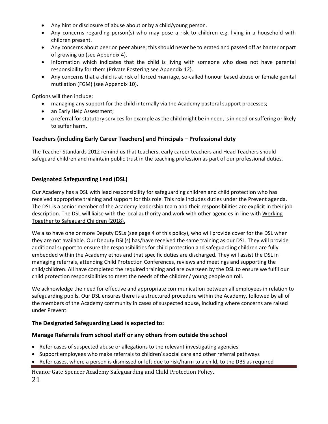- Any hint or disclosure of abuse about or by a child/young person.
- Any concerns regarding person(s) who may pose a risk to children e.g. living in a household with children present.
- Any concerns about peer on peer abuse; this should never be tolerated and passed off as banter or part of growing up (see Appendix 4).
- Information which indicates that the child is living with someone who does not have parental responsibility for them (Private Fostering see Appendix 12).
- Any concerns that a child is at risk of forced marriage, so-called honour based abuse or female genital mutilation (FGM) (see Appendix 10).

Options will then include:

- managing any support for the child internally via the Academy pastoral support processes;
- an Early Help Assessment;
- a referral for statutory services for example as the child might be in need, is in need or suffering or likely to suffer harm.

# **Teachers (including Early Career Teachers) and Principals – Professional duty**

The Teacher Standards 2012 remind us that teachers, early career teachers and Head Teachers should safeguard children and maintain public trust in the teaching profession as part of our professional duties.

# **Designated Safeguarding Lead (DSL)**

Our Academy has a DSL with lead responsibility for safeguarding children and child protection who has received appropriate training and support for this role. This role includes duties under the Prevent agenda. The DSL is a senior member of the Academy leadership team and their responsibilities are explicit in their job description. The DSL will liaise with the local authority and work with other agencies in line with Working [Together to Safeguard Children](https://assets.publishing.service.gov.uk/government/uploads/system/uploads/attachment_data/file/592101/Working_Together_to_Safeguard_Children_20170213.pdf) (2018).

We also have one or more Deputy DSLs (see page 4 of this policy), who will provide cover for the DSL when they are not available. Our Deputy DSL(s) has/have received the same training as our DSL. They will provide additional support to ensure the responsibilities for child protection and safeguarding children are fully embedded within the Academy ethos and that specific duties are discharged. They will assist the DSL in managing referrals, attending Child Protection Conferences, reviews and meetings and supporting the child/children. All have completed the required training and are overseen by the DSL to ensure we fulfil our child protection responsibilities to meet the needs of the children/ young people on roll.

We acknowledge the need for effective and appropriate communication between all employees in relation to safeguarding pupils. Our DSL ensures there is a structured procedure within the Academy, followed by all of the members of the Academy community in cases of suspected abuse, including where concerns are raised under Prevent.

# **The Designated Safeguarding Lead is expected to:**

#### **Manage Referrals from school staff or any others from outside the school**

- Refer cases of suspected abuse or allegations to the relevant investigating agencies
- Support employees who make referrals to children's social care and other referral pathways
- Refer cases, where a person is dismissed or left due to risk/harm to a child, to the DBS as required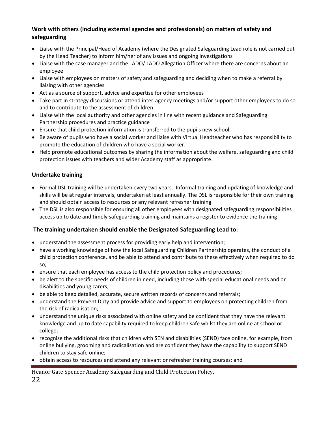# **Work with others (including external agencies and professionals) on matters of safety and safeguarding**

- Liaise with the Principal/Head of Academy (where the Designated Safeguarding Lead role is not carried out by the Head Teacher) to inform him/her of any issues and ongoing investigations
- Liaise with the case manager and the LADO/ LADO Allegation Officer where there are concerns about an employee
- Liaise with employees on matters of safety and safeguarding and deciding when to make a referral by liaising with other agencies
- Act as a source of support, advice and expertise for other employees
- Take part in strategy discussions or attend inter-agency meetings and/or support other employees to do so and to contribute to the assessment of children
- Liaise with the local authority and other agencies in line with recent guidance and Safeguarding Partnership procedures and practice guidance
- Ensure that child protection information is transferred to the pupils new school.
- Be aware of pupils who have a social worker and liaise with Virtual Headteacher who has responsibility to promote the education of children who have a social worker.
- Help promote educational outcomes by sharing the information about the welfare, safeguarding and child protection issues with teachers and wider Academy staff as appropriate.

# **Undertake training**

- Formal DSL training will be undertaken every two years. Informal training and updating of knowledge and skills will be at regular intervals, undertaken at least annually. The DSL is responsible for their own training and should obtain access to resources or any relevant refresher training.
- The DSL is also responsible for ensuring all other employees with designated safeguarding responsibilities access up to date and timely safeguarding training and maintains a register to evidence the training.

# **The training undertaken should enable the Designated Safeguarding Lead to:**

- understand the assessment process for providing early help and intervention;
- have a working knowledge of how the local Safeguarding Children Partnership operates, the conduct of a child protection conference, and be able to attend and contribute to these effectively when required to do so;
- ensure that each employee has access to the child protection policy and procedures;
- be alert to the specific needs of children in need, including those with special educational needs and or disabilities and young carers;
- be able to keep detailed, accurate, secure written records of concerns and referrals;
- understand the Prevent Duty and provide advice and support to employees on protecting children from the risk of radicalisation;
- understand the unique risks associated with online safety and be confident that they have the relevant knowledge and up to date capability required to keep children safe whilst they are online at school or college;
- recognise the additional risks that children with SEN and disabilities (SEND) face online, for example, from online bullying, grooming and radicalisation and are confident they have the capability to support SEND children to stay safe online;
- obtain access to resources and attend any relevant or refresher training courses; and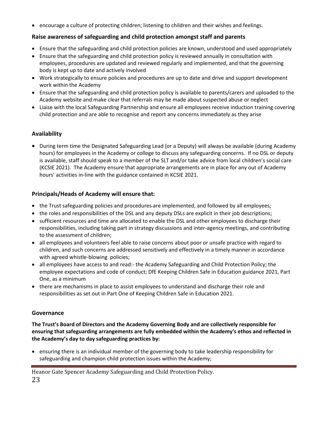• encourage a culture of protecting children; listening to children and their wishes and feelings.

# **Raise awareness of safeguarding and child protection amongst staff and parents**

- Ensure that the safeguarding and child protection policies are known, understood and used appropriately
- Ensure that the safeguarding and child protection policy is reviewed annually in consultation with employees, procedures are updated and reviewed regularly and implemented, and that the governing body is kept up to date and actively involved
- Work strategically to ensure policies and procedures are up to date and drive and support development work within the Academy
- Ensure that the safeguarding and child protection policy is available to parents/carers and uploaded to the Academy website and make clear that referrals may be made about suspected abuse or neglect
- Liaise with the local Safeguarding Partnership and ensure all employees receive induction training covering child protection and are able to recognise and report any concerns immediately as they arise

# **Availability**

• During term time the Designated Safeguarding Lead (or a Deputy) will always be available (during Academy hours) for employees in the Academy or college to discuss any safeguarding concerns. If no DSL or deputy is available, staff should speak to a member of the SLT and/or take advice from local children's social care (KCSIE 2021). The Academy ensure that appropriate arrangements are in place for any out of Academy hours' activities in-line with the guidance contained in KCSIE 2021.

# **Principals/Heads of Academy will ensure that:**

- the Trust safeguarding policies and procedures are implemented, and followed by all employees;
- the roles and responsibilities of the DSL and any deputy DSLs are explicit in their job descriptions;
- sufficient resources and time are allocated to enable the DSL and other employees to discharge their responsibilities, including taking part in strategy discussions and inter-agency meetings, and contributing to the assessment of children;
- all employees and volunteers feel able to raise concerns about poor or unsafe practice with regard to children, and such concerns are addressed sensitively and effectively in a timely manner in accordance with agreed whistle-blowing policies;
- all employees have access to and read:- the Academy Safeguarding and Child Protection Policy; the employee expectations and code of conduct; DfE Keeping Children Safe in Education guidance 2021, Part One, as a minimum
- there are mechanisms in place to assist employees to understand and discharge their role and responsibilities as set out in Part One of Keeping Children Safe in Education 2021.

# **Governance**

**The Trust's Board of Directors and the Academy Governing Body and are collectively responsible for ensuring that safeguarding arrangements are fully embedded within the Academy's ethos and reflected in the Academy's day to day safeguarding practices by:** 

• ensuring there is an individual member of the governing body to take leadership responsibility for safeguarding and champion child protection issues within the Academy;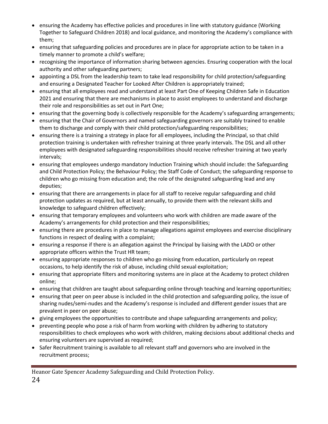- ensuring the Academy has effective policies and procedures in line with statutory guidance (Working Together to Safeguard Children 2018) and local guidance, and monitoring the Academy's compliance with them;
- ensuring that safeguarding policies and procedures are in place for appropriate action to be taken in a timely manner to promote a child's welfare;
- recognising the importance of information sharing between agencies. Ensuring cooperation with the local authority and other safeguarding partners;
- appointing a DSL from the leadership team to take lead responsibility for child protection/safeguarding and ensuring a Designated Teacher for Looked After Children is appropriately trained;
- ensuring that all employees read and understand at least Part One of Keeping Children Safe in Education 2021 and ensuring that there are mechanisms in place to assist employees to understand and discharge their role and responsibilities as set out in Part One;
- ensuring that the governing body is collectively responsible for the Academy's safeguarding arrangements;
- ensuring that the Chair of Governors and named safeguarding governors are suitably trained to enable them to discharge and comply with their child protection/safeguarding responsibilities;
- ensuring there is a training a strategy in place for all employees, including the Principal, so that child protection training is undertaken with refresher training at three yearly intervals. The DSL and all other employees with designated safeguarding responsibilities should receive refresher training at two yearly intervals;
- ensuring that employees undergo mandatory Induction Training which should include: the Safeguarding and Child Protection Policy; the Behaviour Policy; the Staff Code of Conduct; the safeguarding response to children who go missing from education and; the role of the designated safeguarding lead and any deputies;
- ensuring that there are arrangements in place for all staff to receive regular safeguarding and child protection updates as required, but at least annually, to provide them with the relevant skills and knowledge to safeguard children effectively;
- ensuring that temporary employees and volunteers who work with children are made aware of the Academy's arrangements for child protection and their responsibilities;
- ensuring there are procedures in place to manage allegations against employees and exercise disciplinary functions in respect of dealing with a complaint;
- ensuring a response if there is an allegation against the Principal by liaising with the LADO or other appropriate officers within the Trust HR team;
- ensuring appropriate responses to children who go missing from education, particularly on repeat occasions, to help identify the risk of abuse, including child sexual exploitation;
- ensuring that appropriate filters and monitoring systems are in place at the Academy to protect children online;
- ensuring that children are taught about safeguarding online through teaching and learning opportunities;
- ensuring that peer on peer abuse is included in the child protection and safeguarding policy, the issue of sharing nudes/semi-nudes and the Academy's response is included and different gender issues that are prevalent in peer on peer abuse;
- giving employees the opportunities to contribute and shape safeguarding arrangements and policy;
- preventing people who pose a risk of harm from working with children by adhering to statutory responsibilities to check employees who work with children, making decisions about additional checks and ensuring volunteers are supervised as required;
- Safer Recruitment training is available to all relevant staff and governors who are involved in the recruitment process;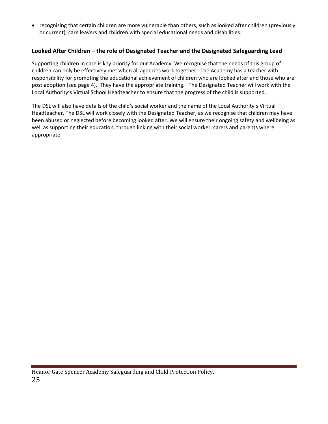• recognising that certain children are more vulnerable than others, such as looked after children (previously or current), care leavers and children with special educational needs and disabilities.

# **Looked After Children – the role of Designated Teacher and the Designated Safeguarding Lead**

Supporting children in care is key priority for our Academy. We recognise that the needs of this group of children can only be effectively met when all agencies work together. The Academy has a teacher with responsibility for promoting the educational achievement of children who are looked after and those who are post adoption (see page 4). They have the appropriate training. The Designated Teacher will work with the Local Authority's Virtual School Headteacher to ensure that the progress of the child is supported.

The DSL will also have details of the child's social worker and the name of the Local Authority's Virtual Headteacher. The DSL will work closely with the Designated Teacher, as we recognise that children may have been abused or neglected before becoming looked after. We will ensure their ongoing safety and wellbeing as well as supporting their education, through linking with their social worker, carers and parents where appropriate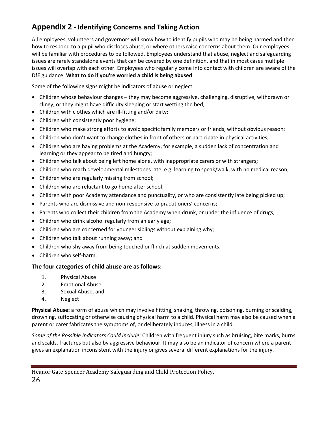# **Appendix 2 - Identifying Concerns and Taking Action**

All employees, volunteers and governors will know how to identify pupils who may be being harmed and then how to respond to a pupil who discloses abuse, or where others raise concerns about them. Our employees will be familiar with procedures to be followed. Employees understand that abuse, neglect and safeguarding issues are rarely standalone events that can be covered by one definition, and that in most cases multiple issues will overlap with each other. Employees who regularly come into contact with children are aware of the DfE guidance: **[What to do if you're worried a child is being abused](https://www.gov.uk/government/uploads/system/uploads/attachment_data/file/419604/What_to_do_if_you_re_worried_a_child_is_being_abused.pdf)**

Some of the following signs might be indicators of abuse or neglect:

- Children whose behaviour changes they may become aggressive, challenging, disruptive, withdrawn or clingy, or they might have difficulty sleeping or start wetting the bed;
- Children with clothes which are ill-fitting and/or dirty;
- Children with consistently poor hygiene;
- Children who make strong efforts to avoid specific family members or friends, without obvious reason;
- Children who don't want to change clothes in front of others or participate in physical activities;
- Children who are having problems at the Academy, for example, a sudden lack of concentration and learning or they appear to be tired and hungry;
- Children who talk about being left home alone, with inappropriate carers or with strangers;
- Children who reach developmental milestones late, e.g. learning to speak/walk, with no medical reason;
- Children who are regularly missing from school;
- Children who are reluctant to go home after school;
- Children with poor Academy attendance and punctuality, or who are consistently late being picked up;
- Parents who are dismissive and non-responsive to practitioners' concerns;
- Parents who collect their children from the Academy when drunk, or under the influence of drugs;
- Children who drink alcohol regularly from an early age;
- Children who are concerned for younger siblings without explaining why;
- Children who talk about running away; and
- Children who shy away from being touched or flinch at sudden movements.
- Children who self-harm.

# **The four categories of child abuse are as follows:**

- 1. Physical Abuse
- 2. Emotional Abuse
- 3. Sexual Abuse, and
- 4. Neglect

**Physical Abuse:** a form of abuse which may involve hitting, shaking, throwing, poisoning, burning or scalding, drowning, suffocating or otherwise causing physical harm to a child. Physical harm may also be caused when a parent or carer fabricates the symptoms of, or deliberately induces, illness in a child.

*Some of the Possible Indicators Could Include:* Children with frequent injury such as bruising, bite marks, burns and scalds, fractures but also by aggressive behaviour. It may also be an indicator of concern where a parent gives an explanation inconsistent with the injury or gives several different explanations for the injury.

Heanor Gate Spencer Academy Safeguarding and Child Protection Policy. 26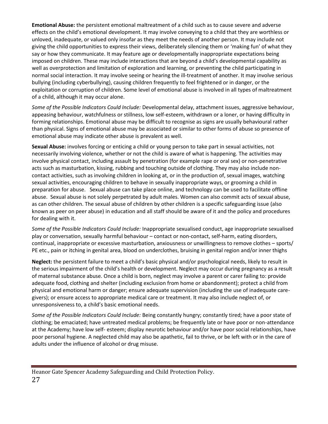**Emotional Abuse:** the persistent emotional maltreatment of a child such as to cause severe and adverse effects on the child's emotional development. It may involve conveying to a child that they are worthless or unloved, inadequate, or valued only insofar as they meet the needs of another person. It may include not giving the child opportunities to express their views, deliberately silencing them or 'making fun' of what they say or how they communicate. It may feature age or developmentally inappropriate expectations being imposed on children. These may include interactions that are beyond a child's developmental capability as well as overprotection and limitation of exploration and learning, or preventing the child participating in normal social interaction. It may involve seeing or hearing the ill-treatment of another. It may involve serious bullying (including cyberbullying), causing children frequently to feel frightened or in danger, or the exploitation or corruption of children. Some level of emotional abuse is involved in all types of maltreatment of a child, although it may occur alone.

*Some of the Possible Indicators Could Include:* Developmental delay, attachment issues, aggressive behaviour, appeasing behaviour, watchfulness or stillness, low self-esteem, withdrawn or a loner, or having difficulty in forming relationships. Emotional abuse may be difficult to recognise as signs are usually behavioural rather than physical. Signs of emotional abuse may be associated or similar to other forms of abuse so presence of emotional abuse may indicate other abuse is prevalent as well.

**Sexual Abuse:** involves forcing or enticing a child or young person to take part in sexual activities, not necessarily involving violence, whether or not the child is aware of what is happening. The activities may involve physical contact, including assault by penetration (for example rape or oral sex) or non-penetrative acts such as masturbation, kissing, rubbing and touching outside of clothing. They may also include noncontact activities, such as involving children in looking at, or in the production of, sexual images, watching sexual activities, encouraging children to behave in sexually inappropriate ways, or grooming a child in preparation for abuse. Sexual abuse can take place online, and technology can be used to facilitate offline abuse. Sexual abuse is not solely perpetrated by adult males. Women can also commit acts of sexual abuse, as can other children. The sexual abuse of children by other children is a specific safeguarding issue (also known as peer on peer abuse) in education and all staff should be aware of it and the policy and procedures for dealing with it.

*Some of the Possible Indicators Could Include:* Inappropriate sexualised conduct, age inappropriate sexualised play or conversation, sexually harmful behaviour – contact or non-contact, self-harm, eating disorders, continual, inappropriate or excessive masturbation, anxiousness or unwillingness to remove clothes – sports/ PE etc., pain or itching in genital area, blood on underclothes, bruising in genital region and/or inner thighs

**Neglect:** the persistent failure to meet a child's basic physical and/or psychological needs, likely to result in the serious impairment of the child's health or development. Neglect may occur during pregnancy as a result of maternal substance abuse. Once a child is born, neglect may involve a parent or carer failing to: provide adequate food, clothing and shelter (including exclusion from home or abandonment); protect a child from physical and emotional harm or danger; ensure adequate supervision (including the use of inadequate caregivers); or ensure access to appropriate medical care or treatment. It may also include neglect of, or unresponsiveness to, a child's basic emotional needs.

*Some of the Possible Indicators Could Include:* Being constantly hungry; constantly tired; have a poor state of clothing; be emaciated; have untreated medical problems; be frequently late or have poor or non-attendance at the Academy; have low self- esteem; display neurotic behaviour and/or have poor social relationships, have poor personal hygiene. A neglected child may also be apathetic, fail to thrive, or be left with or in the care of adults under the influence of alcohol or drug misuse.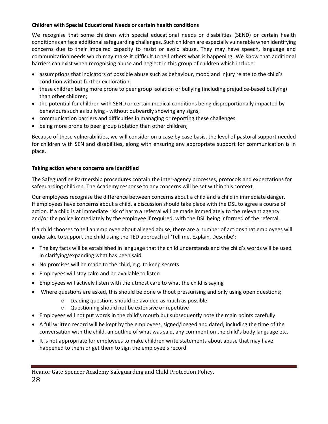## **Children with Special Educational Needs or certain health conditions**

We recognise that some children with special educational needs or disabilities (SEND) or certain health conditions can face additional safeguarding challenges. Such children are especially vulnerable when identifying concerns due to their impaired capacity to resist or avoid abuse. They may have speech, language and communication needs which may make it difficult to tell others what is happening. We know that additional barriers can exist when recognising abuse and neglect in this group of children which include:

- assumptions that indicators of possible abuse such as behaviour, mood and injury relate to the child's condition without further exploration;
- these children being more prone to peer group isolation or bullying (including prejudice-based bullying) than other children;
- the potential for children with SEND or certain medical conditions being disproportionally impacted by behaviours such as bullying - without outwardly showing any signs;
- communication barriers and difficulties in managing or reporting these challenges.
- being more prone to peer group isolation than other children;

Because of these vulnerabilities, we will consider on a case by case basis, the level of pastoral support needed for children with SEN and disabilities, along with ensuring any appropriate support for communication is in place.

# **Taking action where concerns are identified**

The Safeguarding Partnership procedures contain the inter-agency processes, protocols and expectations for safeguarding children. The Academy response to any concerns will be set within this context.

Our employees recognise the difference between concerns about a child and a child in immediate danger. If employees have concerns about a child, a discussion should take place with the DSL to agree a course of action. If a child is at immediate risk of harm a referral will be made immediately to the relevant agency and/or the police immediately by the employee if required, with the DSL being informed of the referral.

If a child chooses to tell an employee about alleged abuse, there are a number of actions that employees will undertake to support the child using the TED approach of 'Tell me, Explain, Describe':

- The key facts will be established in language that the child understands and the child's words will be used in clarifying/expanding what has been said
- No promises will be made to the child, e.g. to keep secrets
- Employees will stay calm and be available to listen
- Employees will actively listen with the utmost care to what the child is saying
- Where questions are asked, this should be done without pressurising and only using open questions;
	- o Leading questions should be avoided as much as possible
	- o Questioning should not be extensive or repetitive
- Employees will not put words in the child's mouth but subsequently note the main points carefully
- A full written record will be kept by the employees, signed/logged and dated, including the time of the conversation with the child, an outline of what was said, any comment on the child's body language etc.
- It is not appropriate for employees to make children write statements about abuse that may have happened to them or get them to sign the employee's record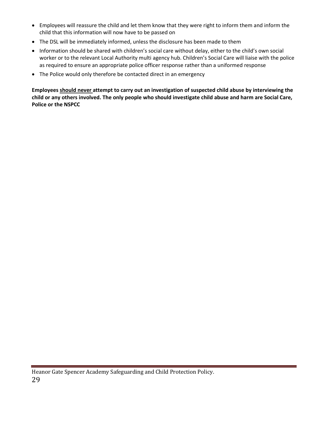- Employees will reassure the child and let them know that they were right to inform them and inform the child that this information will now have to be passed on
- The DSL will be immediately informed, unless the disclosure has been made to them
- Information should be shared with children's social care without delay, either to the child's own social worker or to the relevant Local Authority multi agency hub. Children's Social Care will liaise with the police as required to ensure an appropriate police officer response rather than a uniformed response
- The Police would only therefore be contacted direct in an emergency

**Employees should never attempt to carry out an investigation of suspected child abuse by interviewing the child or any others involved. The only people who should investigate child abuse and harm are Social Care, Police or the NSPCC** 

Heanor Gate Spencer Academy Safeguarding and Child Protection Policy. 29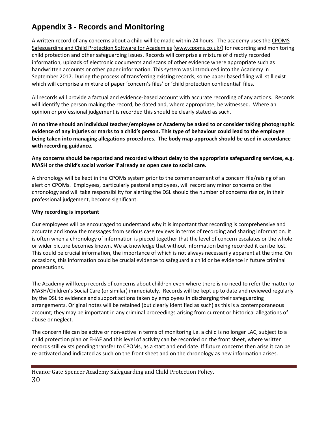# **Appendix 3 - Records and Monitoring**

A written record of any concerns about a child will be made within 24 hours. The academy uses the CPOMS Safeguarding and Child Protection Software for Academies [\(www.cpoms.co.uk/\)](http://www.cpoms.co.uk/) for recording and monitoring child protection and other safeguarding issues. Records will comprise a mixture of directly recorded information, uploads of electronic documents and scans of other evidence where appropriate such as handwritten accounts or other paper information. This system was introduced into the Academy in September 2017. During the process of transferring existing records, some paper based filing will still exist which will comprise a mixture of paper 'concern's files' or 'child protection confidential' files.

All records will provide a factual and evidence-based account with accurate recording of any actions. Records will identify the person making the record, be dated and, where appropriate, be witnessed. Where an opinion or professional judgement is recorded this should be clearly stated as such.

**At no time should an individual teacher/employee or Academy be asked to or consider taking photographic evidence of any injuries or marks to a child's person. This type of behaviour could lead to the employee being taken into managing allegations procedures. The body map approach should be used in accordance with recording guidance.** 

**Any concerns should be reported and recorded without delay to the appropriate safeguarding services, e.g. MASH or the child's social worker if already an open case to social care.**

A chronology will be kept in the CPOMs system prior to the commencement of a concern file/raising of an alert on CPOMs. Employees, particularly pastoral employees, will record any minor concerns on the chronology and will take responsibility for alerting the DSL should the number of concerns rise or, in their professional judgement, become significant.

#### **Why recording is important**

Our employees will be encouraged to understand why it is important that recording is comprehensive and accurate and know the messages from serious case reviews in terms of recording and sharing information. It is often when a chronology of information is pieced together that the level of concern escalates or the whole or wider picture becomes known. We acknowledge that without information being recorded it can be lost. This could be crucial information, the importance of which is not always necessarily apparent at the time. On occasions, this information could be crucial evidence to safeguard a child or be evidence in future criminal prosecutions.

The Academy will keep records of concerns about children even where there is no need to refer the matter to MASH/Children's Social Care (or similar) immediately. Records will be kept up to date and reviewed regularly by the DSL to evidence and support actions taken by employees in discharging their safeguarding arrangements. Original notes will be retained (but clearly identified as such) as this is a contemporaneous account; they may be important in any criminal proceedings arising from current or historical allegations of abuse or neglect.

The concern file can be active or non-active in terms of monitoring i.e. a child is no longer LAC, subject to a child protection plan or EHAF and this level of activity can be recorded on the front sheet, where written records still exists pending transfer to CPOMs, as a start and end date. If future concerns then arise it can be re-activated and indicated as such on the front sheet and on the chronology as new information arises.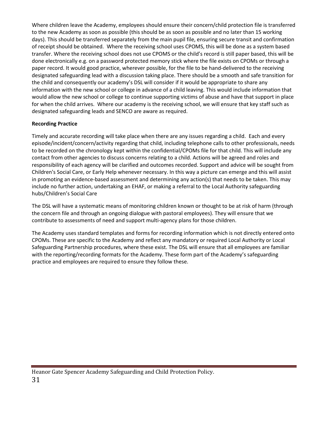Where children leave the Academy, employees should ensure their concern/child protection file is transferred to the new Academy as soon as possible (this should be as soon as possible and no later than 15 working days). This should be transferred separately from the main pupil file, ensuring secure transit and confirmation of receipt should be obtained. Where the receiving school uses CPOMS, this will be done as a system based transfer. Where the receiving school does not use CPOMS or the child's record is still paper based, this will be done electronically e.g. on a password protected memory stick where the file exists on CPOMs or through a paper record. It would good practice, wherever possible, for the file to be hand-delivered to the receiving designated safeguarding lead with a discussion taking place. There should be a smooth and safe transition for the child and consequently our academy's DSL will consider if it would be appropriate to share any information with the new school or college in advance of a child leaving. This would include information that would allow the new school or college to continue supporting victims of abuse and have that support in place for when the child arrives. Where our academy is the receiving school, we will ensure that key staff such as designated safeguarding leads and SENCO are aware as required.

# **Recording Practice**

Timely and accurate recording will take place when there are any issues regarding a child. Each and every episode/incident/concern/activity regarding that child, including telephone calls to other professionals, needs to be recorded on the chronology kept within the confidential/CPOMs file for that child. This will include any contact from other agencies to discuss concerns relating to a child. Actions will be agreed and roles and responsibility of each agency will be clarified and outcomes recorded. Support and advice will be sought from Children's Social Care, or Early Help whenever necessary. In this way a picture can emerge and this will assist in promoting an evidence-based assessment and determining any action(s) that needs to be taken. This may include no further action, undertaking an EHAF, or making a referral to the Local Authority safeguarding hubs/Children's Social Care

The DSL will have a systematic means of monitoring children known or thought to be at risk of harm (through the concern file and through an ongoing dialogue with pastoral employees). They will ensure that we contribute to assessments of need and support multi-agency plans for those children.

The Academy uses standard templates and forms for recording information which is not directly entered onto CPOMs. These are specific to the Academy and reflect any mandatory or required Local Authority or Local Safeguarding Partnership procedures, where these exist. The DSL will ensure that all employees are familiar with the reporting/recording formats for the Academy. These form part of the Academy's safeguarding practice and employees are required to ensure they follow these.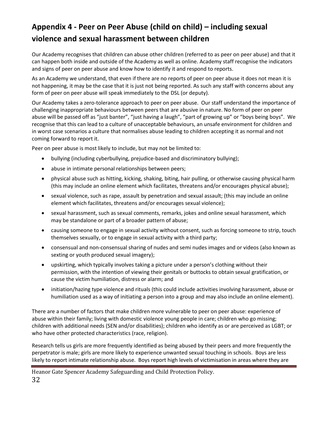# **Appendix 4 - Peer on Peer Abuse (child on child) – including sexual violence and sexual harassment between children**

Our Academy recognises that children can abuse other children (referred to as peer on peer abuse) and that it can happen both inside and outside of the Academy as well as online. Academy staff recognise the indicators and signs of peer on peer abuse and know how to identify it and respond to reports.

As an Academy we understand, that even if there are no reports of peer on peer abuse it does not mean it is not happening, it may be the case that it is just not being reported. As such any staff with concerns about any form of peer on peer abuse will speak immediately to the DSL (or deputy).

Our Academy takes a zero-tolerance approach to peer on peer abuse. Our staff understand the importance of challenging inappropriate behaviours between peers that are abusive in nature. No form of peer on peer abuse will be passed off as "just banter", "just having a laugh", "part of growing up" or "boys being boys". We recognise that this can lead to a culture of unacceptable behaviours, an unsafe environment for children and in worst case scenarios a culture that normalises abuse leading to children accepting it as normal and not coming forward to report it.

Peer on peer abuse is most likely to include, but may not be limited to:

- bullying (including cyberbullying, prejudice-based and discriminatory bullying);
- abuse in intimate personal relationships between peers;
- physical abuse such as hitting, kicking, shaking, biting, hair pulling, or otherwise causing physical harm (this may include an online element which facilitates, threatens and/or encourages physical abuse);
- sexual violence, such as rape, assault by penetration and sexual assault; (this may include an online element which facilitates, threatens and/or encourages sexual violence);
- sexual harassment, such as sexual comments, remarks, jokes and online sexual harassment, which may be standalone or part of a broader pattern of abuse;
- causing someone to engage in sexual activity without consent, such as forcing someone to strip, touch themselves sexually, or to engage in sexual activity with a third party;
- consensual and non-consensual sharing of nudes and semi nudes images and or videos (also known as sexting or youth produced sexual imagery);
- upskirting, which typically involves taking a picture under a person's clothing without their permission, with the intention of viewing their genitals or buttocks to obtain sexual gratification, or cause the victim humiliation, distress or alarm; and
- initiation/hazing type violence and rituals (this could include activities involving harassment, abuse or humiliation used as a way of initiating a person into a group and may also include an online element).

There are a number of factors that make children more vulnerable to peer on peer abuse: experience of abuse within their family; living with domestic violence young people in care; children who go missing; children with additional needs (SEN and/or disabilities); children who identify as or are perceived as LGBT; or who have other protected characteristics (race, religion).

Research tells us girls are more frequently identified as being abused by their peers and more frequently the perpetrator is male; girls are more likely to experience unwanted sexual touching in schools. Boys are less likely to report intimate relationship abuse. Boys report high levels of victimisation in areas where they are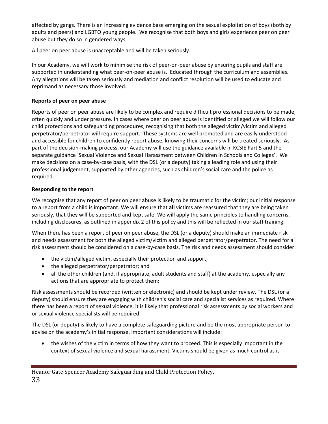affected by gangs. There is an increasing evidence base emerging on the sexual exploitation of boys (both by adults and peers) and LGBTQ young people. We recognise that both boys and girls experience peer on peer abuse but they do so in gendered ways.

All peer on peer abuse is unacceptable and will be taken seriously.

In our Academy, we will work to minimise the risk of peer-on-peer abuse by ensuring pupils and staff are supported in understanding what peer-on-peer abuse is. Educated through the curriculum and assemblies. Any allegations will be taken seriously and mediation and conflict resolution will be used to educate and reprimand as necessary those involved.

## **Reports of peer on peer abuse**

Reports of peer on peer abuse are likely to be complex and require difficult professional decisions to be made, often quickly and under pressure. In cases where peer on peer abuse is identified or alleged we will follow our child protections and safeguarding procedures, recognising that both the alleged victim/victim and alleged perpetrator/perpetrator will require support. These systems are well promoted and are easily understood and accessible for children to confidently report abuse, knowing their concerns will be treated seriously. As part of the decision-making process, our Academy will use the guidance available in KCSIE Part 5 and the separate guidance 'Sexual Violence and Sexual Harassment between Children in Schools and Colleges'. We make decisions on a case-by-case basis, with the DSL (or a deputy) taking a leading role and using their professional judgement, supported by other agencies, such as children's social care and the police as required.

# **Responding to the report**

We recognise that any report of peer on peer abuse is likely to be traumatic for the victim; our initial response to a report from a child is important. We will ensure that **all** victims are reassured that they are being taken seriously, that they will be supported and kept safe. We will apply the same principles to handling concerns, including disclosures, as outlined in appendix 2 of this policy and this will be reflected in our staff training.

When there has been a report of peer on peer abuse, the DSL (or a deputy) should make an immediate risk and needs assessment for both the alleged victim/victim and alleged perpetrator/perpetrator. The need for a risk assessment should be considered on a case-by-case basis. The risk and needs assessment should consider:

- the victim/alleged victim, especially their protection and support;
- the alleged perpetrator/perpetrator; and
- all the other children (and, if appropriate, adult students and staff) at the academy, especially any actions that are appropriate to protect them;

Risk assessments should be recorded (written or electronic) and should be kept under review. The DSL (or a deputy) should ensure they are engaging with children's social care and specialist services as required. Where there has been a report of sexual violence, it is likely that professional risk assessments by social workers and or sexual violence specialists will be required.

The DSL (or deputy) is likely to have a complete safeguarding picture and be the most appropriate person to advise on the academy's initial response. Important considerations will include:

• the wishes of the victim in terms of how they want to proceed. This is especially important in the context of sexual violence and sexual harassment. Victims should be given as much control as is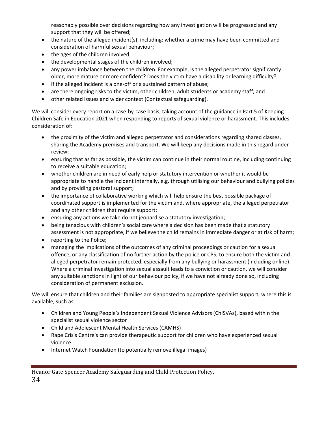reasonably possible over decisions regarding how any investigation will be progressed and any support that they will be offered;

- the nature of the alleged incident(s), including: whether a crime may have been committed and consideration of harmful sexual behaviour;
- the ages of the children involved;
- the developmental stages of the children involved;
- any power imbalance between the children. For example, is the alleged perpetrator significantly older, more mature or more confident? Does the victim have a disability or learning difficulty?
- if the alleged incident is a one-off or a sustained pattern of abuse;
- are there ongoing risks to the victim, other children, adult students or academy staff; and
- other related issues and wider context (Contextual safeguarding).

We will consider every report on a case-by-case basis, taking account of the guidance in Part 5 of Keeping Children Safe in Education 2021 when responding to reports of sexual violence or harassment. This includes consideration of:

- the proximity of the victim and alleged perpetrator and considerations regarding shared classes, sharing the Academy premises and transport. We will keep any decisions made in this regard under review;
- ensuring that as far as possible, the victim can continue in their normal routine, including continuing to receive a suitable education;
- whether children are in need of early help or statutory intervention or whether it would be appropriate to handle the incident internally, e.g. through utilising our behaviour and bullying policies and by providing pastoral support;
- the importance of collaborative working which will help ensure the best possible package of coordinated support is implemented for the victim and, where appropriate, the alleged perpetrator and any other children that require support;
- ensuring any actions we take do not jeopardise a statutory investigation;
- being tenacious with children's social care where a decision has been made that a statutory assessment is not appropriate, if we believe the child remains in immediate danger or at risk of harm;
- reporting to the Police;
- managing the implications of the outcomes of any criminal proceedings or caution for a sexual offence, or any classification of no further action by the police or CPS, to ensure both the victim and alleged perpetrator remain protected, especially from any bullying or harassment (including online). Where a criminal investigation into sexual assault leads to a conviction or caution, we will consider any suitable sanctions in light of our behaviour policy, if we have not already done so, including consideration of permanent exclusion.

We will ensure that children and their families are signposted to appropriate specialist support, where this is available, such as

- Children and Young People's Independent Sexual Violence Advisors (ChISVAs), based within the specialist sexual violence sector
- Child and Adolescent Mental Health Services (CAMHS)
- Rape Crisis Centre's can provide therapeutic support for children who have experienced sexual violence.
- Internet Watch Foundation (to potentially remove illegal images)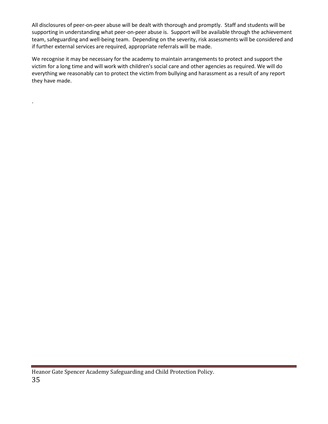All disclosures of peer-on-peer abuse will be dealt with thorough and promptly. Staff and students will be supporting in understanding what peer-on-peer abuse is. Support will be available through the achievement team, safeguarding and well-being team. Depending on the severity, risk assessments will be considered and if further external services are required, appropriate referrals will be made.

We recognise it may be necessary for the academy to maintain arrangements to protect and support the victim for a long time and will work with children's social care and other agencies as required. We will do everything we reasonably can to protect the victim from bullying and harassment as a result of any report they have made.

.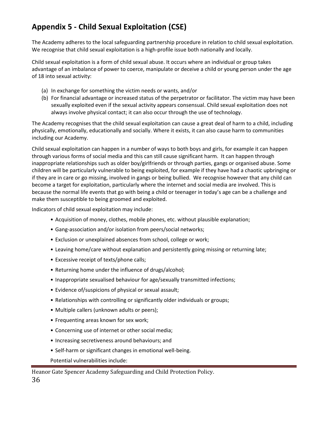# **Appendix 5 - Child Sexual Exploitation (CSE)**

The Academy adheres to the local safeguarding partnership procedure in relation to child sexual exploitation. We recognise that child sexual exploitation is a high-profile issue both nationally and locally.

Child sexual exploitation is a form of child sexual abuse. It occurs where an individual or group takes advantage of an imbalance of power to coerce, manipulate or deceive a child or young person under the age of 18 into sexual activity:

- (a) In exchange for something the victim needs or wants, and/or
- (b) For financial advantage or increased status of the perpetrator or facilitator. The victim may have been sexually exploited even if the sexual activity appears consensual. Child sexual exploitation does not always involve physical contact; it can also occur through the use of technology.

The Academy recognises that the child sexual exploitation can cause a great deal of harm to a child, including physically, emotionally, educationally and socially. Where it exists, it can also cause harm to communities including our Academy.

Child sexual exploitation can happen in a number of ways to both boys and girls, for example it can happen through various forms of social media and this can still cause significant harm. It can happen through inappropriate relationships such as older boy/girlfriends or through parties, gangs or organised abuse. Some children will be particularly vulnerable to being exploited, for example if they have had a chaotic upbringing or if they are in care or go missing, involved in gangs or being bullied. We recognise however that any child can become a target for exploitation, particularly where the internet and social media are involved. This is because the normal life events that go with being a child or teenager in today's age can be a challenge and make them susceptible to being groomed and exploited.

Indicators of child sexual exploitation may include:

- Acquisition of money, clothes, mobile phones, etc. without plausible explanation;
- Gang-association and/or isolation from peers/social networks;
- Exclusion or unexplained absences from school, college or work;
- Leaving home/care without explanation and persistently going missing or returning late;
- Excessive receipt of texts/phone calls;
- Returning home under the influence of drugs/alcohol;
- Inappropriate sexualised behaviour for age/sexually transmitted infections;
- Evidence of/suspicions of physical or sexual assault;
- Relationships with controlling or significantly older individuals or groups;
- Multiple callers (unknown adults or peers);
- Frequenting areas known for sex work;
- Concerning use of internet or other social media;
- Increasing secretiveness around behaviours; and
- Self-harm or significant changes in emotional well-being.

Potential vulnerabilities include: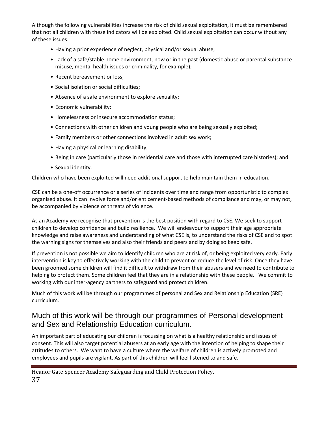Although the following vulnerabilities increase the risk of child sexual exploitation, it must be remembered that not all children with these indicators will be exploited. Child sexual exploitation can occur without any of these issues.

- Having a prior experience of neglect, physical and/or sexual abuse;
- Lack of a safe/stable home environment, now or in the past (domestic abuse or parental substance misuse, mental health issues or criminality, for example);
- Recent bereavement or loss;
- Social isolation or social difficulties;
- Absence of a safe environment to explore sexuality;
- Economic vulnerability;
- Homelessness or insecure accommodation status;
- Connections with other children and young people who are being sexually exploited;
- Family members or other connections involved in adult sex work;
- Having a physical or learning disability;
- Being in care (particularly those in residential care and those with interrupted care histories); and
- Sexual identity.

Children who have been exploited will need additional support to help maintain them in education.

CSE can be a one-off occurrence or a series of incidents over time and range from opportunistic to complex organised abuse. It can involve force and/or enticement-based methods of compliance and may, or may not, be accompanied by violence or threats of violence.

As an Academy we recognise that prevention is the best position with regard to CSE. We seek to support children to develop confidence and build resilience. We will endeavour to support their age appropriate knowledge and raise awareness and understanding of what CSE is, to understand the risks of CSE and to spot the warning signs for themselves and also their friends and peers and by doing so keep safe.

If prevention is not possible we aim to identify children who are at risk of, or being exploited very early. Early intervention is key to effectively working with the child to prevent or reduce the level of risk. Once they have been groomed some children will find it difficult to withdraw from their abusers and we need to contribute to helping to protect them. Some children feel that they are in a relationship with these people. We commit to working with our inter-agency partners to safeguard and protect children.

Much of this work will be through our programmes of personal and Sex and Relationship Education (SRE) curriculum.

# Much of this work will be through our programmes of Personal development and Sex and Relationship Education curriculum.

An important part of educating our children is focussing on what is a healthy relationship and issues of consent. This will also target potential abusers at an early age with the intention of helping to shape their attitudes to others. We want to have a culture where the welfare of children is actively promoted and employees and pupils are vigilant. As part of this children will feel listened to and safe.

Heanor Gate Spencer Academy Safeguarding and Child Protection Policy. 37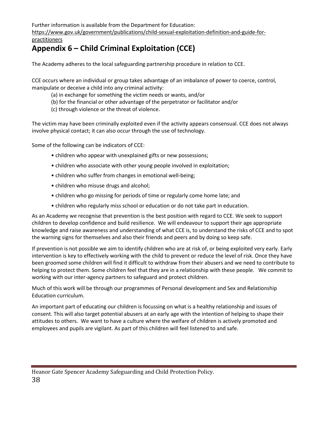Further information is available from the Department for Education:

https://www.gov.uk/government/publications/child-sexual-exploitation-definition-and-guide-forpractitioners

# **Appendix 6 – Child Criminal Exploitation (CCE)**

The Academy adheres to the local safeguarding partnership procedure in relation to CCE.

CCE occurs where an individual or group takes advantage of an imbalance of power to coerce, control, manipulate or deceive a child into any criminal activity:

- (a) in exchange for something the victim needs or wants, and/or
- (b) for the financial or other advantage of the perpetrator or facilitator and/or
- (c) through violence or the threat of violence.

The victim may have been criminally exploited even if the activity appears consensual. CCE does not always involve physical contact; it can also occur through the use of technology.

Some of the following can be indicators of CCE:

- children who appear with unexplained gifts or new possessions;
- children who associate with other young people involved in exploitation;
- children who suffer from changes in emotional well-being;
- children who misuse drugs and alcohol;
- children who go missing for periods of time or regularly come home late; and
- children who regularly miss school or education or do not take part in education.

As an Academy we recognise that prevention is the best position with regard to CCE. We seek to support children to develop confidence and build resilience. We will endeavour to support their age appropriate knowledge and raise awareness and understanding of what CCE is, to understand the risks of CCE and to spot the warning signs for themselves and also their friends and peers and by doing so keep safe.

If prevention is not possible we aim to identify children who are at risk of, or being exploited very early. Early intervention is key to effectively working with the child to prevent or reduce the level of risk. Once they have been groomed some children will find it difficult to withdraw from their abusers and we need to contribute to helping to protect them. Some children feel that they are in a relationship with these people. We commit to working with our inter-agency partners to safeguard and protect children.

Much of this work will be through our programmes of Personal development and Sex and Relationship Education curriculum.

An important part of educating our children is focussing on what is a healthy relationship and issues of consent. This will also target potential abusers at an early age with the intention of helping to shape their attitudes to others. We want to have a culture where the welfare of children is actively promoted and employees and pupils are vigilant. As part of this children will feel listened to and safe.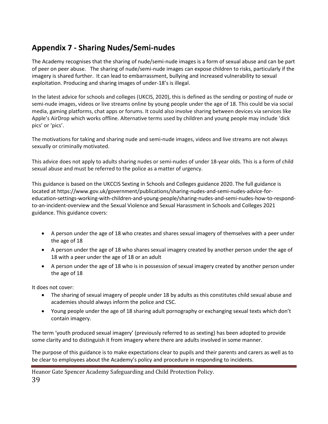# **Appendix 7 - Sharing Nudes/Semi-nudes**

The Academy recognises that the sharing of nude/semi-nude images is a form of sexual abuse and can be part of peer on peer abuse. The sharing of nude/semi-nude images can expose children to risks, particularly if the imagery is shared further. It can lead to embarrassment, bullying and increased vulnerability to sexual exploitation. Producing and sharing images of under-18's is illegal.

In the latest advice for schools and colleges (UKCIS, 2020), this is defined as the sending or posting of nude or semi-nude images, videos or live streams online by young people under the age of 18. This could be via social media, gaming platforms, chat apps or forums. It could also involve sharing between devices via services like Apple's AirDrop which works offline. Alternative terms used by children and young people may include 'dick pics' or 'pics'.

The motivations for taking and sharing nude and semi-nude images, videos and live streams are not always sexually or criminally motivated.

This advice does not apply to adults sharing nudes or semi-nudes of under 18-year olds. This is a form of child sexual abuse and must be referred to the police as a matter of urgency.

This guidance is based on the UKCCIS Sexting in Schools and Colleges guidance 2020. The full guidance is located at https://www.gov.uk/government/publications/sharing-nudes-and-semi-nudes-advice-foreducation-settings-working-with-children-and-young-people/sharing-nudes-and-semi-nudes-how-to-respondto-an-incident-overview and the Sexual Violence and Sexual Harassment in Schools and Colleges 2021 guidance. This guidance covers:

- A person under the age of 18 who creates and shares sexual imagery of themselves with a peer under the age of 18
- A person under the age of 18 who shares sexual imagery created by another person under the age of 18 with a peer under the age of 18 or an adult
- A person under the age of 18 who is in possession of sexual imagery created by another person under the age of 18

It does not cover:

- The sharing of sexual imagery of people under 18 by adults as this constitutes child sexual abuse and academies should always inform the police and CSC.
- Young people under the age of 18 sharing adult pornography or exchanging sexual texts which don't contain imagery.

The term 'youth produced sexual imagery' (previously referred to as sexting) has been adopted to provide some clarity and to distinguish it from imagery where there are adults involved in some manner.

The purpose of this guidance is to make expectations clear to pupils and their parents and carers as well as to be clear to employees about the Academy's policy and procedure in responding to incidents.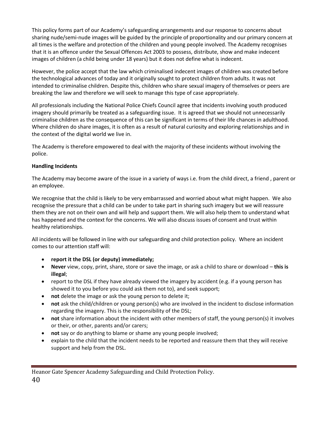This policy forms part of our Academy's safeguarding arrangements and our response to concerns about sharing nude/semi-nude images will be guided by the principle of proportionality and our primary concern at all times is the welfare and protection of the children and young people involved. The Academy recognises that it is an offence under the Sexual Offences Act 2003 to possess, distribute, show and make indecent images of children (a child being under 18 years) but it does not define what is indecent.

However, the police accept that the law which criminalised indecent images of children was created before the technological advances of today and it originally sought to protect children from adults. It was not intended to criminalise children. Despite this, children who share sexual imagery of themselves or peers are breaking the law and therefore we will seek to manage this type of case appropriately.

All professionals including the National Police Chiefs Council agree that incidents involving youth produced imagery should primarily be treated as a safeguarding issue. It is agreed that we should not unnecessarily criminalise children as the consequence of this can be significant in terms of their life chances in adulthood. Where children do share images, it is often as a result of natural curiosity and exploring relationships and in the context of the digital world we live in.

The Academy is therefore empowered to deal with the majority of these incidents without involving the police.

#### **Handling Incidents**

The Academy may become aware of the issue in a variety of ways i.e. from the child direct, a friend , parent or an employee.

We recognise that the child is likely to be very embarrassed and worried about what might happen. We also recognise the pressure that a child can be under to take part in sharing such imagery but we will reassure them they are not on their own and will help and support them. We will also help them to understand what has happened and the context for the concerns. We will also discuss issues of consent and trust within healthy relationships.

All incidents will be followed in line with our safeguarding and child protection policy. Where an incident comes to our attention staff will:

- **report it the DSL (or deputy) immediately;**
- **Never** view, copy, print, share, store or save the image, or ask a child to share or download **this is illegal**;
- report to the DSL if they have already viewed the imagery by accident (e.g. if a young person has showed it to you before you could ask them not to), and seek support;
- **not** delete the image or ask the young person to delete it;
- **not** ask the child/children or young person(s) who are involved in the incident to disclose information regarding the imagery. This is the responsibility of the DSL;
- **not** share information about the incident with other members of staff, the young person(s) it involves or their, or other, parents and/or carers;
- **not** say or do anything to blame or shame any young people involved;
- explain to the child that the incident needs to be reported and reassure them that they will receive support and help from the DSL.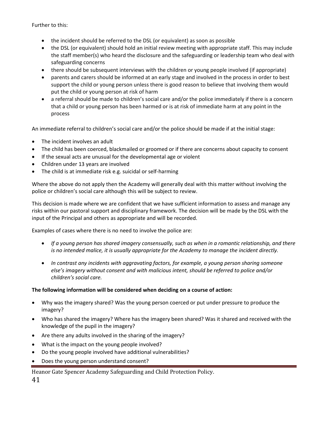Further to this:

- the incident should be referred to the DSL (or equivalent) as soon as possible
- the DSL (or equivalent) should hold an initial review meeting with appropriate staff. This may include the staff member(s) who heard the disclosure and the safeguarding or leadership team who deal with safeguarding concerns
- there should be subsequent interviews with the children or young people involved (if appropriate)
- parents and carers should be informed at an early stage and involved in the process in order to best support the child or young person unless there is good reason to believe that involving them would put the child or young person at risk of harm
- a referral should be made to children's social care and/or the police immediately if there is a concern that a child or young person has been harmed or is at risk of immediate harm at any point in the process

An immediate referral to children's social care and/or the police should be made if at the initial stage:

- The incident involves an adult
- The child has been coerced, blackmailed or groomed or if there are concerns about capacity to consent
- If the sexual acts are unusual for the developmental age or violent
- Children under 13 years are involved
- The child is at immediate risk e.g. suicidal or self-harming

Where the above do not apply then the Academy will generally deal with this matter without involving the police or children's social care although this will be subject to review.

This decision is made where we are confident that we have sufficient information to assess and manage any risks within our pastoral support and disciplinary framework. The decision will be made by the DSL with the input of the Principal and others as appropriate and will be recorded.

Examples of cases where there is no need to involve the police are:

- *If a young person has shared imagery consensually, such as when in a romantic relationship, and there is no intended malice, it is usually appropriate for the Academy to manage the incident directly.*
- *In contrast any incidents with aggravating factors, for example, a young person sharing someone else's imagery without consent and with malicious intent, should be referred to police and/or children's social care.*

#### **The following information will be considered when deciding on a course of action:**

- Why was the imagery shared? Was the young person coerced or put under pressure to produce the imagery?
- Who has shared the imagery? Where has the imagery been shared? Was it shared and received with the knowledge of the pupil in the imagery?
- Are there any adults involved in the sharing of the imagery?
- What is the impact on the young people involved?
- Do the young people involved have additional vulnerabilities?
- Does the young person understand consent?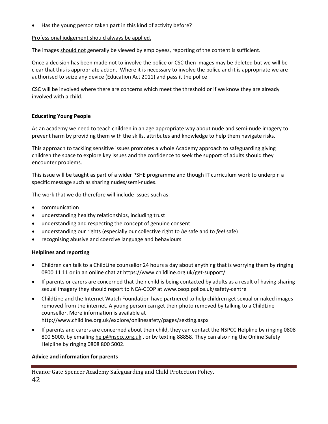• Has the young person taken part in this kind of activity before?

# Professional judgement should always be applied.

The images should not generally be viewed by employees, reporting of the content is sufficient.

Once a decision has been made not to involve the police or CSC then images may be deleted but we will be clear that this is appropriate action. Where it is necessary to involve the police and it is appropriate we are authorised to seize any device (Education Act 2011) and pass it the police

CSC will be involved where there are concerns which meet the threshold or if we know they are already involved with a child.

# **Educating Young People**

As an academy we need to teach children in an age appropriate way about nude and semi-nude imagery to prevent harm by providing them with the skills, attributes and knowledge to help them navigate risks.

This approach to tackling sensitive issues promotes a whole Academy approach to safeguarding giving children the space to explore key issues and the confidence to seek the support of adults should they encounter problems.

This issue will be taught as part of a wider PSHE programme and though IT curriculum work to underpin a specific message such as sharing nudes/semi-nudes.

The work that we do therefore will include issues such as:

- communication
- understanding healthy relationships, including trust
- understanding and respecting the concept of genuine consent
- understanding our rights (especially our collective right to *be* safe and to *feel* safe)
- recognising abusive and coercive language and behaviours

#### **Helplines and reporting**

- Children can talk to a ChildLine counsellor 24 hours a day about anything that is worrying them by ringing 0800 11 11 or in an online chat a[t https://www.childline.org.uk/get-support/](https://www.childline.org.uk/get-support/)
- If parents or carers are concerned that their child is being contacted by adults as a result of having sharing sexual imagery they should report to NCA-CEOP at www.ceop.police.uk/safety-centre
- ChildLine and the Internet Watch Foundation have partnered to help children get sexual or naked images removed from the internet. A young person can get their photo removed by talking to a ChildLine counsellor. More information is available at http://www.childline.org.uk/explore/onlinesafety/pages/sexting.aspx
- If parents and carers are concerned about their child, they can contact the NSPCC Helpline by ringing 0808 800 5000, by emailing [help@nspcc.org.uk](mailto:help@nspcc.org.uk), or by texting 88858. They can also ring the Online Safety Helpline by ringing 0808 800 5002.

# **Advice and information for parents**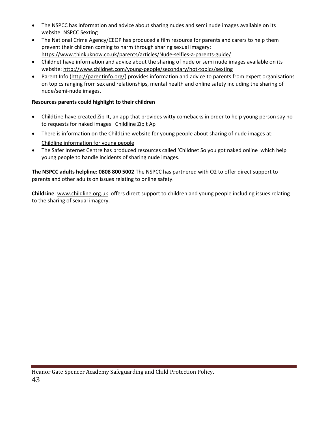- The NSPCC has information and advice about sharing nudes and semi nude images available on its website: [NSPCC Sexting](https://www.nspcc.org.uk/preventing-abuse/keeping-children-safe/sexting/?_t_id=1B2M2Y8AsgTpgAmY7PhCfg%3d%3d&_t_q=sexting&_t_tags=language%3aen%2csiteid%3a7f1b9313-bf5e-4415-abf6-aaf87298c667&_t_ip=10.97.160.97&_t_hit.id=Nspcc_Web_Models_Pages_StandardPage/_a5245587-27cb-42c6-8830-0657efe408f6_en-GB&_t_hit.pos=1)
- The National Crime Agency/CEOP has produced a film resource for parents and carers to help them prevent their children coming to harm through sharing sexual imagery: https://www.thinkuknow.co.uk/parents/articles/Nude-selfies-a-parents-guide/
- Childnet have information and advice about the sharing of nude or semi nude images available on its website:<http://www.childnet.com/young-people/secondary/hot-topics/sexting>
- Parent Info [\(http://parentinfo.org/\)](http://parentinfo.org/) provides information and advice to parents from expert organisations on topics ranging from sex and relationships, mental health and online safety including the sharing of nude/semi-nude images.

## **Resources parents could highlight to their children**

- ChildLine have created Zip-It, an app that provides witty comebacks in order to help young person say no to requests for naked images [Childline Zipit Ap](https://www.childline.org.uk/info-advice/bullying-abuse-safety/online-mobile-safety/sexting/zipit-app/)
- There is information on the ChildLine website for young people about sharing of nude images at: [Childline information for young people](https://childline.org.uk/info-advice/bullying-abuse-safety/online-mobile-safety/sexting/)
- The Safer Internet Centre has produced resources called '[Childnet So you got naked online](http://childnetsic.s3.amazonaws.com/ufiles/Files%202015/SYGNO%20Booklet%20-%20version%202%20May%202015.pdf) which help young people to handle incidents of sharing nude images.

**The NSPCC adults helpline: 0808 800 5002** The NSPCC has partnered with O2 to offer direct support to parents and other adults on issues relating to online safety.

**ChildLine**: [www.childline.org.uk](http://www.childline.org.uk/) offers direct support to children and young people including issues relating to the sharing of sexual imagery.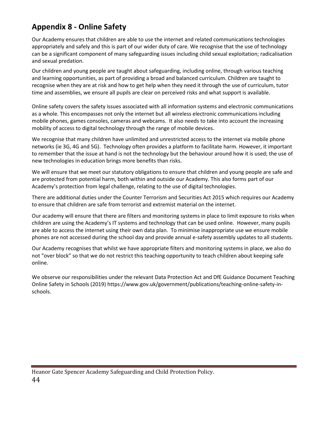# **Appendix 8 - Online Safety**

Our Academy ensures that children are able to use the internet and related communications technologies appropriately and safely and this is part of our wider duty of care. We recognise that the use of technology can be a significant component of many safeguarding issues including child sexual exploitation; radicalisation and sexual predation.

Our children and young people are taught about safeguarding, including online, through various teaching and learning opportunities, as part of providing a broad and balanced curriculum. Children are taught to recognise when they are at risk and how to get help when they need it through the use of curriculum, tutor time and assemblies, we ensure all pupils are clear on perceived risks and what support is available.

Online safety covers the safety issues associated with all information systems and electronic communications as a whole. This encompasses not only the internet but all wireless electronic communications including mobile phones, games consoles, cameras and webcams. It also needs to take into account the increasing mobility of access to digital technology through the range of mobile devices.

We recognise that many children have unlimited and unrestricted access to the internet via mobile phone networks (ie 3G, 4G and 5G). Technology often provides a platform to facilitate harm. However, it important to remember that the issue at hand is not the technology but the behaviour around how it is used; the use of new technologies in education brings more benefits than risks.

We will ensure that we meet our statutory obligations to ensure that children and young people are safe and are protected from potential harm, both within and outside our Academy. This also forms part of our Academy's protection from legal challenge, relating to the use of digital technologies.

There are additional duties under the Counter Terrorism and Securities Act 2015 which requires our Academy to ensure that children are safe from terrorist and extremist material on the internet.

Our academy will ensure that there are filters and monitoring systems in place to limit exposure to risks when children are using the Academy's IT systems and technology that can be used online. However, many pupils are able to access the internet using their own data plan. To minimise inappropriate use we ensure mobile phones are not accessed during the school day and provide annual e-safety assembly updates to all students.

Our Academy recognises that whilst we have appropriate filters and monitoring systems in place, we also do not "over block" so that we do not restrict this teaching opportunity to teach children about keeping safe online.

We observe our responsibilities under the relevant Data Protection Act and DfE Guidance Document Teaching Online Safety in Schools (2019) https://www.gov.uk/government/publications/teaching-online-safety-inschools.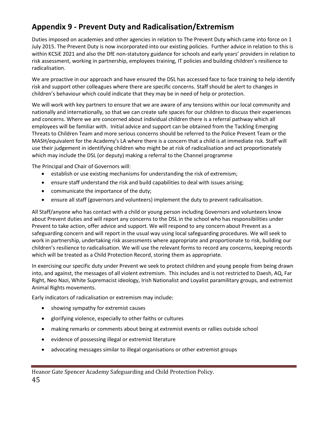# **Appendix 9 - Prevent Duty and Radicalisation/Extremism**

Duties imposed on academies and other agencies in relation to The Prevent Duty which came into force on 1 July 2015. The Prevent Duty is now incorporated into our existing policies. Further advice in relation to this is within KCSiE 2021 and also the DfE non-statutory guidance for schools and early years' providers in relation to risk assessment, working in partnership, employees training, IT policies and building children's resilience to radicalisation.

We are proactive in our approach and have ensured the DSL has accessed face to face training to help identify risk and support other colleagues where there are specific concerns. Staff should be alert to changes in children's behaviour which could indicate that they may be in need of help or protection.

We will work with key partners to ensure that we are aware of any tensions within our local community and nationally and internationally, so that we can create safe spaces for our children to discuss their experiences and concerns. Where we are concerned about individual children there is a referral pathway which all employees will be familiar with. Initial advice and support can be obtained from the Tackling Emerging Threats to Children Team and more serious concerns should be referred to the Police Prevent Team or the MASH/equivalent for the Academy's LA where there is a concern that a child is at immediate risk. Staff will use their judgement in identifying children who might be at risk of radicalisation and act proportionately which may include the DSL (or deputy) making a referral to the Channel programme

The Principal and Chair of Governors will:

- establish or use existing mechanisms for understanding the risk of extremism;
- ensure staff understand the risk and build capabilities to deal with issues arising;
- communicate the importance of the duty;
- ensure all staff (governors and volunteers) implement the duty to prevent radicalisation.

All Staff/anyone who has contact with a child or young person including Governors and volunteers know about Prevent duties and will report any concerns to the DSL in the school who has responsibilities under Prevent to take action, offer advice and support. We will respond to any concern about Prevent as a safeguarding concern and will report in the usual way using local safeguarding procedures. We will seek to work in partnership, undertaking risk assessments where appropriate and proportionate to risk, building our children's resilience to radicalisation. We will use the relevant forms to record any concerns, keeping records which will be treated as a Child Protection Record, storing them as appropriate.

In exercising our specific duty under Prevent we seek to protect children and young people from being drawn into, and against, the messages of all violent extremism. This includes and is not restricted to Daesh, AQ, Far Right, Neo Nazi, White Supremacist ideology, Irish Nationalist and Loyalist paramilitary groups, and extremist Animal Rights movements.

Early indicators of radicalisation or extremism may include:

- showing sympathy for extremist causes
- glorifying violence, especially to other faiths or cultures
- making remarks or comments about being at extremist events or rallies outside school
- evidence of possessing illegal or extremist literature
- advocating messages similar to illegal organisations or other extremist groups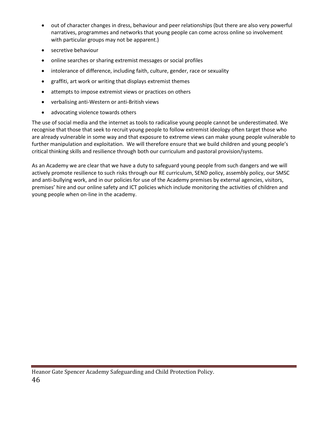- out of character changes in dress, behaviour and peer relationships (but there are also very powerful narratives, programmes and networks that young people can come across online so involvement with particular groups may not be apparent.)
- secretive behaviour
- online searches or sharing extremist messages or social profiles
- intolerance of difference, including faith, culture, gender, race or sexuality
- graffiti, art work or writing that displays extremist themes
- attempts to impose extremist views or practices on others
- verbalising anti-Western or anti-British views
- advocating violence towards others

The use of social media and the internet as tools to radicalise young people cannot be underestimated. We recognise that those that seek to recruit young people to follow extremist ideology often target those who are already vulnerable in some way and that exposure to extreme views can make young people vulnerable to further manipulation and exploitation. We will therefore ensure that we build children and young people's critical thinking skills and resilience through both our curriculum and pastoral provision/systems.

As an Academy we are clear that we have a duty to safeguard young people from such dangers and we will actively promote resilience to such risks through our RE curriculum, SEND policy, assembly policy, our SMSC and anti-bullying work, and in our policies for use of the Academy premises by external agencies, visitors, premises' hire and our online safety and ICT policies which include monitoring the activities of children and young people when on-line in the academy.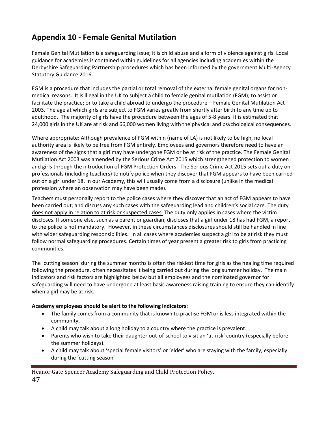# **Appendix 10 - Female Genital Mutilation**

Female Genital Mutilation is a safeguarding issue; it is child abuse and a form of violence against girls. Local guidance for academies is contained within guidelines for all agencies including academies within the Derbyshire Safeguarding Partnership procedures which has been informed by the government Multi-Agency Statutory Guidance 2016.

FGM is a procedure that includes the partial or total removal of the external female genital organs for nonmedical reasons. It is illegal in the UK to subject a child to female genital mutilation (FGM); to assist or facilitate the practice; or to take a child abroad to undergo the procedure – Female Genital Mutilation Act 2003. The age at which girls are subject to FGM varies greatly from shortly after birth to any time up to adulthood. The majority of girls have the procedure between the ages of 5-8 years. It is estimated that 24,000 girls in the UK are at risk and 66,000 women living with the physical and psychological consequences.

Where appropriate: Although prevalence of FGM within (name of LA) is not likely to be high, no local authority area is likely to be free from FGM entirely. Employees and governors therefore need to have an awareness of the signs that a girl may have undergone FGM or be at risk of the practice. The Female Genital Mutilation Act 2003 was amended by the Serious Crime Act 2015 which strengthened protection to women and girls through the introduction of FGM Protection Orders. The Serious Crime Act 2015 sets out a duty on professionals (including teachers) to notify police when they discover that FGM appears to have been carried out on a girl under 18. In our Academy, this will usually come from a disclosure (unlike in the medical profession where an observation may have been made).

Teachers must personally report to the police cases where they discover that an act of FGM appears to have been carried out; and discuss any such cases with the safeguarding lead and children's social care. The duty does not apply in relation to at risk or suspected cases. The duty only applies in cases where the victim discloses. If someone else, such as a parent or guardian, discloses that a girl under 18 has had FGM, a report to the police is not mandatory. However, in these circumstances disclosures should still be handled in line with wider safeguarding responsibilities. In all cases where academies suspect a girl to be at risk they must follow normal safeguarding procedures. Certain times of year present a greater risk to girls from practicing communities.

The 'cutting season' during the summer months is often the riskiest time for girls as the healing time required following the procedure, often necessitates it being carried out during the long summer holiday. The main indicators and risk factors are highlighted below but all employees and the nominated governor for safeguarding will need to have undergone at least basic awareness raising training to ensure they can identify when a girl may be at risk.

# **Academy employees should be alert to the following indicators:**

- The family comes from a community that is known to practise FGM or is less integrated within the community.
- A child may talk about a long holiday to a country where the practice is prevalent.
- Parents who wish to take their daughter out-of-school to visit an 'at-risk' country (especially before the summer holidays).
- A child may talk about 'special female visitors' or 'elder' who are staying with the family, especially during the 'cutting season'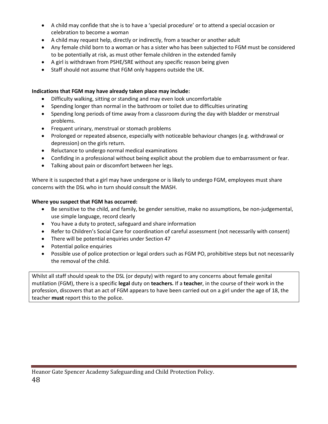- A child may confide that she is to have a 'special procedure' or to attend a special occasion or celebration to become a woman
- A child may request help, directly or indirectly, from a teacher or another adult
- Any female child born to a woman or has a sister who has been subjected to FGM must be considered to be potentially at risk, as must other female children in the extended family
- A girl is withdrawn from PSHE/SRE without any specific reason being given
- Staff should not assume that FGM only happens outside the UK.

# **Indications that FGM may have already taken place may include:**

- Difficulty walking, sitting or standing and may even look uncomfortable
- Spending longer than normal in the bathroom or toilet due to difficulties urinating
- Spending long periods of time away from a classroom during the day with bladder or menstrual problems.
- Frequent urinary, menstrual or stomach problems
- Prolonged or repeated absence, especially with noticeable behaviour changes (e.g. withdrawal or depression) on the girls return.
- Reluctance to undergo normal medical examinations
- Confiding in a professional without being explicit about the problem due to embarrassment or fear.
- Talking about pain or discomfort between her legs.

Where it is suspected that a girl may have undergone or is likely to undergo FGM, employees must share concerns with the DSL who in turn should consult the MASH.

# **Where you suspect that FGM has occurred:**

- Be sensitive to the child, and family, be gender sensitive, make no assumptions, be non-judgemental, use simple language, record clearly
- You have a duty to protect, safeguard and share information
- Refer to Children's Social Care for coordination of careful assessment (not necessarily with consent)
- There will be potential enquiries under Section 47
- Potential police enquiries
- Possible use of police protection or legal orders such as FGM PO, prohibitive steps but not necessarily the removal of the child.

Whilst all staff should speak to the DSL (or deputy) with regard to any concerns about female genital mutilation (FGM), there is a specific **legal** duty on **teachers.** If a **teacher**, in the course of their work in the profession, discovers that an act of FGM appears to have been carried out on a girl under the age of 18, the teacher **must** report this to the police.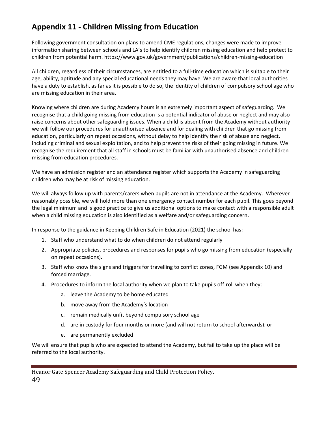# **Appendix 11 - Children Missing from Education**

Following government consultation on plans to amend CME regulations, changes were made to improve information sharing between schools and LA's to help identify children missing education and help protect to children from potential harm[. https://www.gov.uk/government/publications/children-missing-education](https://www.gov.uk/government/publications/children-missing-education)

All children, regardless of their circumstances, are entitled to a full-time education which is suitable to their age, ability, aptitude and any special educational needs they may have. We are aware that local authorities have a duty to establish, as far as it is possible to do so, the identity of children of compulsory school age who are missing education in their area.

Knowing where children are during Academy hours is an extremely important aspect of safeguarding. We recognise that a child going missing from education is a potential indicator of abuse or neglect and may also raise concerns about other safeguarding issues. When a child is absent from the Academy without authority we will follow our procedures for unauthorised absence and for dealing with children that go missing from education, particularly on repeat occasions, without delay to help identify the risk of abuse and neglect, including criminal and sexual exploitation, and to help prevent the risks of their going missing in future. We recognise the requirement that all staff in schools must be familiar with unauthorised absence and children missing from education procedures.

We have an admission register and an attendance register which supports the Academy in safeguarding children who may be at risk of missing education.

We will always follow up with parents/carers when pupils are not in attendance at the Academy. Wherever reasonably possible, we will hold more than one emergency contact number for each pupil. This goes beyond the legal minimum and is good practice to give us additional options to make contact with a responsible adult when a child missing education is also identified as a welfare and/or safeguarding concern.

In response to the guidance in Keeping Children Safe in Education (2021) the school has:

- 1. Staff who understand what to do when children do not attend regularly
- 2. Appropriate policies, procedures and responses for pupils who go missing from education (especially on repeat occasions).
- 3. Staff who know the signs and triggers for travelling to conflict zones, FGM (see Appendix 10) and forced marriage.
- 4. Procedures to inform the local authority when we plan to take pupils off-roll when they:
	- a. leave the Academy to be home educated
	- b. move away from the Academy's location
	- c. remain medically unfit beyond compulsory school age
	- d. are in custody for four months or more (and will not return to school afterwards); or
	- e. are permanently excluded

We will ensure that pupils who are expected to attend the Academy, but fail to take up the place will be referred to the local authority.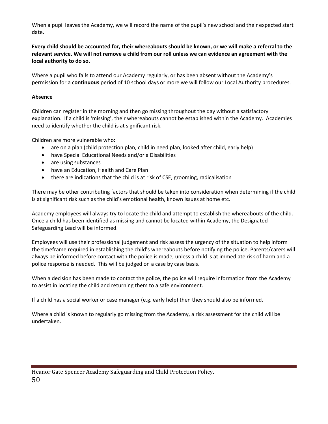When a pupil leaves the Academy, we will record the name of the pupil's new school and their expected start date.

**Every child should be accounted for, their whereabouts should be known, or we will make a referral to the relevant service. We will not remove a child from our roll unless we can evidence an agreement with the local authority to do so.**

Where a pupil who fails to attend our Academy regularly, or has been absent without the Academy's permission for a **continuous** period of 10 school days or more we will follow our Local Authority procedures.

## **Absence**

Children can register in the morning and then go missing throughout the day without a satisfactory explanation. If a child is 'missing', their whereabouts cannot be established within the Academy. Academies need to identify whether the child is at significant risk.

Children are more vulnerable who:

- are on a plan (child protection plan, child in need plan, looked after child, early help)
- have Special Educational Needs and/or a Disabilities
- are using substances
- have an Education, Health and Care Plan
- there are indications that the child is at risk of CSE, grooming, radicalisation

There may be other contributing factors that should be taken into consideration when determining if the child is at significant risk such as the child's emotional health, known issues at home etc.

Academy employees will always try to locate the child and attempt to establish the whereabouts of the child. Once a child has been identified as missing and cannot be located within Academy, the Designated Safeguarding Lead will be informed.

Employees will use their professional judgement and risk assess the urgency of the situation to help inform the timeframe required in establishing the child's whereabouts before notifying the police. Parents/carers will always be informed before contact with the police is made, unless a child is at immediate risk of harm and a police response is needed. This will be judged on a case by case basis.

When a decision has been made to contact the police, the police will require information from the Academy to assist in locating the child and returning them to a safe environment.

If a child has a social worker or case manager (e.g. early help) then they should also be informed.

Where a child is known to regularly go missing from the Academy, a risk assessment for the child will be undertaken.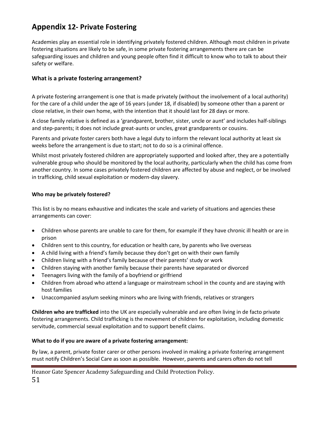# **Appendix 12- Private Fostering**

Academies play an essential role in identifying privately fostered children. Although most children in private fostering situations are likely to be safe, in some private fostering arrangements there are can be safeguarding issues and children and young people often find it difficult to know who to talk to about their safety or welfare.

# **What is a private fostering arrangement?**

A private fostering arrangement is one that is made privately (without the involvement of a local authority) for the care of a child under the age of 16 years (under 18, if disabled) by someone other than a parent or close relative, in their own home, with the intention that it should last for 28 days or more.

A close family relative is defined as a 'grandparent, brother, sister, uncle or aunt' and includes half-siblings and step-parents; it does not include great-aunts or uncles, great grandparents or cousins.

Parents and private foster carers both have a legal duty to inform the relevant local authority at least six weeks before the arrangement is due to start; not to do so is a criminal offence.

Whilst most privately fostered children are appropriately supported and looked after, they are a potentially vulnerable group who should be monitored by the local authority, particularly when the child has come from another country. In some cases privately fostered children are affected by abuse and neglect, or be involved in trafficking, child sexual exploitation or modern-day slavery.

# **Who may be privately fostered?**

This list is by no means exhaustive and indicates the scale and variety of situations and agencies these arrangements can cover:

- Children whose parents are unable to care for them, for example if they have chronic ill health or are in prison
- Children sent to this country, for education or health care, by parents who live overseas
- A child living with a friend's family because they don't get on with their own family
- Children living with a friend's family because of their parents' study or work
- Children staying with another family because their parents have separated or divorced
- Teenagers living with the family of a boyfriend or girlfriend
- Children from abroad who attend a language or mainstream school in the county and are staying with host families
- Unaccompanied asylum seeking minors who are living with friends, relatives or strangers

**Children who are trafficked** into the UK are especially vulnerable and are often living in de facto private fostering arrangements. Child trafficking is the movement of children for exploitation, including domestic servitude, commercial sexual exploitation and to support benefit claims.

#### **What to do if you are aware of a private fostering arrangement:**

By law, a parent, private foster carer or other persons involved in making a private fostering arrangement must notify Children's Social Care as soon as possible. However, parents and carers often do not tell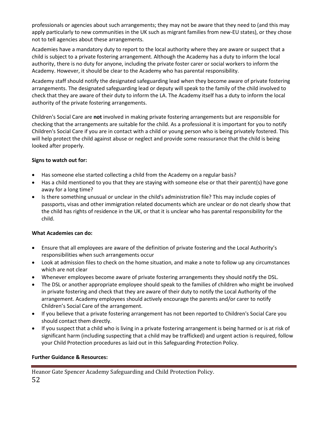professionals or agencies about such arrangements; they may not be aware that they need to (and this may apply particularly to new communities in the UK such as migrant families from new-EU states), or they chose not to tell agencies about these arrangements.

Academies have a mandatory duty to report to the local authority where they are aware or suspect that a child is subject to a private fostering arrangement. Although the Academy has a duty to inform the local authority, there is no duty for anyone, including the private foster carer or social workers to inform the Academy. However, it should be clear to the Academy who has parental responsibility.

Academy staff should notify the designated safeguarding lead when they become aware of private fostering arrangements. The designated safeguarding lead or deputy will speak to the family of the child involved to check that they are aware of their duty to inform the LA. The Academy itself has a duty to inform the local authority of the private fostering arrangements.

Children's Social Care are **not** involved in making private fostering arrangements but are responsible for checking that the arrangements are suitable for the child. As a professional it is important for you to notify Children's Social Care if you are in contact with a child or young person who is being privately fostered. This will help protect the child against abuse or neglect and provide some reassurance that the child is being looked after properly.

# **Signs to watch out for:**

- Has someone else started collecting a child from the Academy on a regular basis?
- Has a child mentioned to you that they are staying with someone else or that their parent(s) have gone away for a long time?
- Is there something unusual or unclear in the child's administration file? This may include copies of passports, visas and other immigration related documents which are unclear or do not clearly show that the child has rights of residence in the UK, or that it is unclear who has parental responsibility for the child.

#### **What Academies can do:**

- Ensure that all employees are aware of the definition of private fostering and the Local Authority's responsibilities when such arrangements occur
- Look at admission files to check on the home situation, and make a note to follow up any circumstances which are not clear
- Whenever employees become aware of private fostering arrangements they should notify the DSL.
- The DSL or another appropriate employee should speak to the families of children who might be involved in private fostering and check that they are aware of their duty to notify the Local Authority of the arrangement. Academy employees should actively encourage the parents and/or carer to notify Children's Social Care of the arrangement.
- If you believe that a private fostering arrangement has not been reported to Children's Social Care you should contact them directly.
- If you suspect that a child who is living in a private fostering arrangement is being harmed or is at risk of significant harm (including suspecting that a child may be trafficked) and urgent action is required, follow your Child Protection procedures as laid out in this Safeguarding Protection Policy.

#### **Further Guidance & Resources:**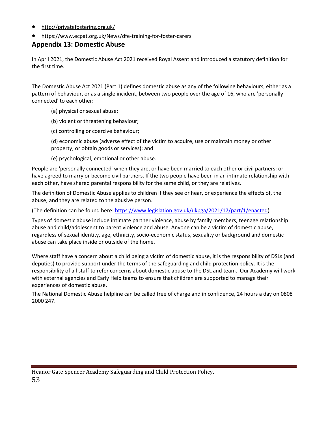- <http://privatefostering.org.uk/>
- <https://www.ecpat.org.uk/News/dfe-training-for-foster-carers>

# **Appendix 13: Domestic Abuse**

In April 2021, the Domestic Abuse Act 2021 received Royal Assent and introduced a statutory definition for the first time.

The Domestic Abuse Act 2021 (Part 1) defines domestic abuse as any of the following behaviours, either as a pattern of behaviour, or as a single incident, between two people over the age of 16, who are 'personally connected' to each other:

- (a) physical or sexual abuse;
- (b) violent or threatening behaviour;
- (c) controlling or coercive behaviour;
- (d) economic abuse (adverse effect of the victim to acquire, use or maintain money or other property; or obtain goods or services); and
- (e) psychological, emotional or other abuse.

People are 'personally connected' when they are, or have been married to each other or civil partners; or have agreed to marry or become civil partners. If the two people have been in an intimate relationship with each other, have shared parental responsibility for the same child, or they are relatives.

The definition of Domestic Abuse applies to children if they see or hear, or experience the effects of, the abuse; and they are related to the abusive person.

(The definition can be found here[: https://www.legislation.gov.uk/ukpga/2021/17/part/1/enacted\)](https://www.legislation.gov.uk/ukpga/2021/17/part/1/enacted)

Types of domestic abuse include intimate partner violence, abuse by family members, teenage relationship abuse and child/adolescent to parent violence and abuse. Anyone can be a victim of domestic abuse, regardless of sexual identity, age, ethnicity, socio-economic status, sexuality or background and domestic abuse can take place inside or outside of the home.

Where staff have a concern about a child being a victim of domestic abuse, it is the responsibility of DSLs (and deputies) to provide support under the terms of the safeguarding and child protection policy. It is the responsibility of all staff to refer concerns about domestic abuse to the DSL and team. Our Academy will work with external agencies and Early Help teams to ensure that children are supported to manage their experiences of domestic abuse.

The National Domestic Abuse helpline can be called free of charge and in confidence, 24 hours a day on 0808 2000 247.